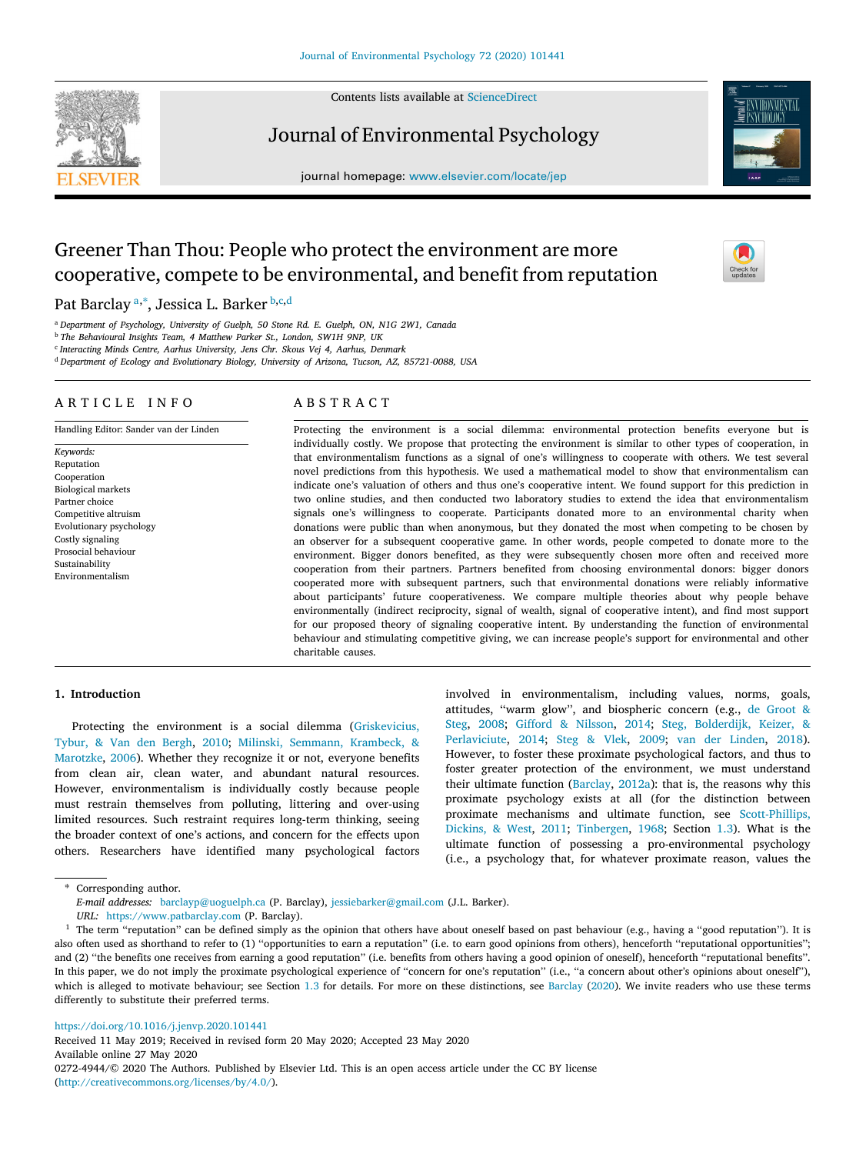Contents lists available at [ScienceDirect](http://www.elsevier.com/locate/jep)



Journal of Environmental Psychology

journal homepage: [www.elsevier.com/locate/jep](http://www.elsevier.com/locate/jep)



# Greener Than Thou: People who protect the environment are more cooperative, compete to be environmental, and benefit from reputation

P[a](#page-0-0)t Barclay ª,\*, Jessica L. Barker <sup>[b](#page-0-2),[c](#page-0-3),[d](#page-0-4)</sup>

<span id="page-0-0"></span><sup>a</sup> *Department of Psychology, University of Guelph, 50 Stone Rd. E. Guelph, ON, N1G 2W1, Canada*

<span id="page-0-2"></span><sup>b</sup> *The Behavioural Insights Team, 4 Matthew Parker St., London, SW1H 9NP, UK*

<span id="page-0-3"></span>c *Interacting Minds Centre, Aarhus University, Jens Chr. Skous Vej 4, Aarhus, Denmark*

<span id="page-0-4"></span><sup>d</sup> *Department of Ecology and Evolutionary Biology, University of Arizona, Tucson, AZ, 85721-0088, USA*

### A R T I C L E I N F O

Handling Editor: Sander van der Linden

# A B S T R A C T

*Keywords:* Reputation Cooperation Biological markets Partner choice Competitive altruism Evolutionary psychology Costly signaling Prosocial behaviour Sustainability Environmentalism

Protecting the environment is a social dilemma: environmental protection benefits everyone but is individually costly. We propose that protecting the environment is similar to other types of cooperation, in that environmentalism functions as a signal of one's willingness to cooperate with others. We test several novel predictions from this hypothesis. We used a mathematical model to show that environmentalism can indicate one's valuation of others and thus one's cooperative intent. We found support for this prediction in two online studies, and then conducted two laboratory studies to extend the idea that environmentalism signals one's willingness to cooperate. Participants donated more to an environmental charity when donations were public than when anonymous, but they donated the most when competing to be chosen by an observer for a subsequent cooperative game. In other words, people competed to donate more to the environment. Bigger donors benefited, as they were subsequently chosen more often and received more cooperation from their partners. Partners benefited from choosing environmental donors: bigger donors cooperated more with subsequent partners, such that environmental donations were reliably informative about participants' future cooperativeness. We compare multiple theories about why people behave environmentally (indirect reciprocity, signal of wealth, signal of cooperative intent), and find most support for our proposed theory of signaling cooperative intent. By understanding the function of environmental behaviour and stimulating competitive giving, we can increase people's support for environmental and other charitable causes.

### **1. Introduction**

Protecting the environment is a social dilemma ([Griskevicius,](#page-12-0) [Tybur, & Van den Bergh](#page-12-0), [2010](#page-12-0); [Milinski, Semmann, Krambeck, &](#page-12-1) [Marotzke,](#page-12-1) [2006\)](#page-12-1). Whether they recognize it or not, everyone benefits from clean air, clean water, and abundant natural resources. However, environmentalism is individually costly because people must restrain themselves from polluting, littering and over-using limited resources. Such restraint requires long-term thinking, seeing the broader context of one's actions, and concern for the effects upon others. Researchers have identified many psychological factors involved in environmentalism, including values, norms, goals, attitudes, ''warm glow'', and biospheric concern (e.g., [de Groot &](#page-12-2) [Steg,](#page-12-2) [2008](#page-12-2); [Gifford & Nilsson](#page-12-3), [2014;](#page-12-3) [Steg, Bolderdijk, Keizer, &](#page-13-0) [Perlaviciute,](#page-13-0) [2014;](#page-13-0) [Steg & Vlek](#page-13-1), [2009;](#page-13-1) [van der Linden](#page-13-2), [2018](#page-13-2)). However, to foster these proximate psychological factors, and thus to foster greater protection of the environment, we must understand their ultimate function ([Barclay](#page-11-1), [2012a\)](#page-11-1): that is, the reasons why this proximate psychology exists at all (for the distinction between proximate mechanisms and ultimate function, see [Scott-Phillips,](#page-13-3) [Dickins, & West,](#page-13-3) [2011](#page-13-3); [Tinbergen,](#page-13-4) [1968;](#page-13-4) Section [1.3](#page-2-0)). What is the ultimate function of possessing a pro-environmental psychology (i.e., a psychology that, for whatever proximate reason, values the

<span id="page-0-1"></span>∗ Corresponding author.

*E-mail addresses:* [barclayp@uoguelph.ca](mailto:barclayp@uoguelph.ca) (P. Barclay), [jessiebarker@gmail.com](mailto:jessiebarker@gmail.com) (J.L. Barker).

*URL:* <https://www.patbarclay.com> (P. Barclay).

<span id="page-0-5"></span> $1$  The term "reputation" can be defined simply as the opinion that others have about oneself based on past behaviour (e.g., having a "good reputation"). It is also often used as shorthand to refer to (1) ''opportunities to earn a reputation'' (i.e. to earn good opinions from others), henceforth ''reputational opportunities''; and (2) ''the benefits one receives from earning a good reputation'' (i.e. benefits from others having a good opinion of oneself), henceforth ''reputational benefits''. In this paper, we do not imply the proximate psychological experience of "concern for one's reputation" (i.e., "a concern about other's opinions about oneself"), which is alleged to motivate behaviour; see Section [1.3](#page-2-0) for details. For more on these distinctions, see [Barclay](#page-11-0) ( $2020$ ). We invite readers who use these terms differently to substitute their preferred terms.

<https://doi.org/10.1016/j.jenvp.2020.101441>

Received 11 May 2019; Received in revised form 20 May 2020; Accepted 23 May 2020 Available online 27 May 2020 0272-4944/© 2020 The Authors. Published by Elsevier Ltd. This is an open access article under the CC BY license [\(http://creativecommons.org/licenses/by/4.0/\)](http://creativecommons.org/licenses/by/4.0/).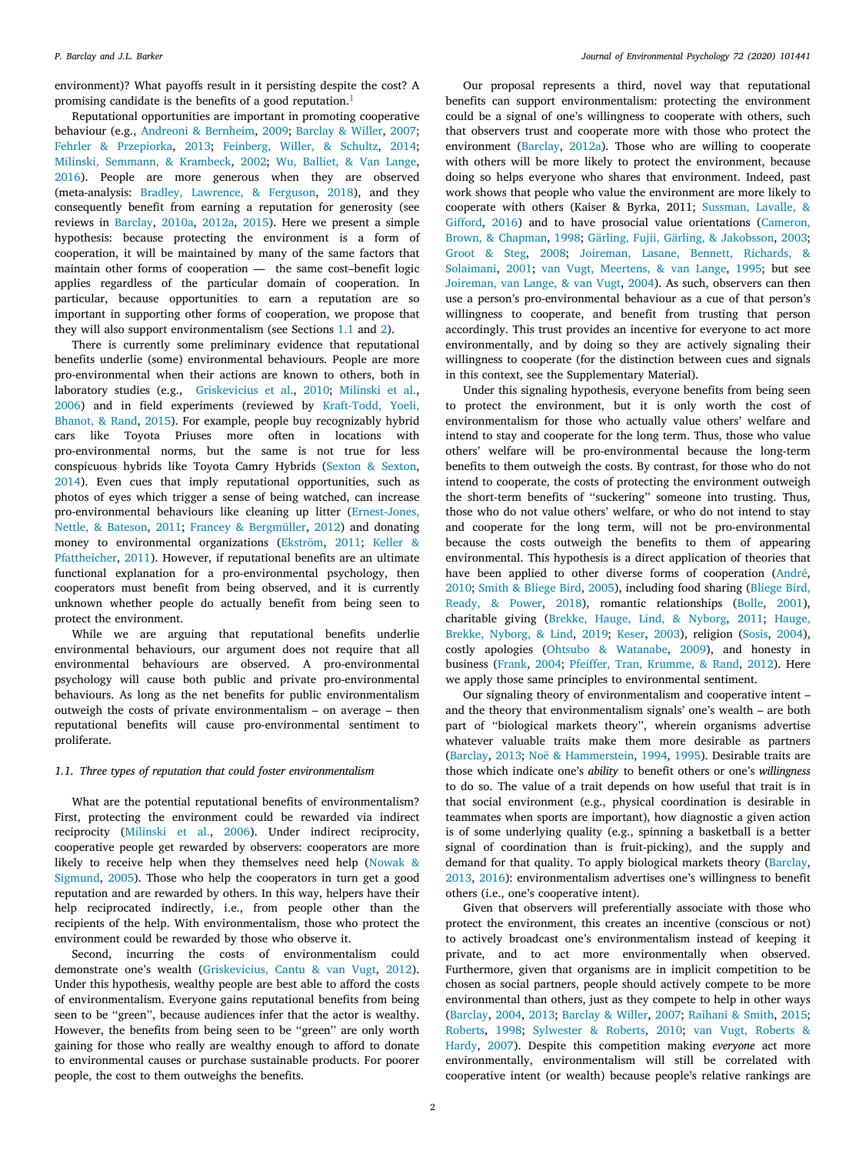environment)? What payoffs result in it persisting despite the cost? A promising candidate is the benefits of a good reputation.<sup>[1](#page-0-5)</sup>

Reputational opportunities are important in promoting cooperative behaviour (e.g., [Andreoni & Bernheim](#page-11-2), [2009](#page-11-2); [Barclay & Willer](#page-12-4), [2007](#page-12-4); [Fehrler & Przepiorka,](#page-12-5) [2013](#page-12-5); [Feinberg, Willer, & Schultz,](#page-12-6) [2014](#page-12-6); [Milinski, Semmann, & Krambeck,](#page-12-7) [2002](#page-12-7); [Wu, Balliet, & Van Lange](#page-13-5), [2016\)](#page-13-5). People are more generous when they are observed (meta-analysis: [Bradley, Lawrence, & Ferguson,](#page-12-8) [2018](#page-12-8)), and they consequently benefit from earning a reputation for generosity (see reviews in [Barclay](#page-11-3), [2010a](#page-11-3), [2012a](#page-11-1), [2015\)](#page-11-4). Here we present a simple hypothesis: because protecting the environment is a form of cooperation, it will be maintained by many of the same factors that maintain other forms of cooperation — the same cost–benefit logic applies regardless of the particular domain of cooperation. In particular, because opportunities to earn a reputation are so important in supporting other forms of cooperation, we propose that they will also support environmentalism (see Sections [1.1](#page-1-0) and [2](#page-3-0)).

There is currently some preliminary evidence that reputational benefits underlie (some) environmental behaviours. People are more pro-environmental when their actions are known to others, both in laboratory studies (e.g., [Griskevicius et al.,](#page-12-0) [2010;](#page-12-0) [Milinski et al.](#page-12-1), [2006\)](#page-12-1) and in field experiments (reviewed by [Kraft-Todd, Yoeli,](#page-12-9) [Bhanot, & Rand](#page-12-9), [2015\)](#page-12-9). For example, people buy recognizably hybrid cars like Toyota Priuses more often in locations with pro-environmental norms, but the same is not true for less conspicuous hybrids like Toyota Camry Hybrids ([Sexton & Sexton](#page-13-6), [2014\)](#page-13-6). Even cues that imply reputational opportunities, such as photos of eyes which trigger a sense of being watched, can increase pro-environmental behaviours like cleaning up litter ([Ernest-Jones,](#page-12-10) [Nettle, & Bateson](#page-12-10), [2011](#page-12-10); [Francey & Bergmüller,](#page-12-11) [2012](#page-12-11)) and donating money to environmental organizations [\(Ekström,](#page-12-12) [2011](#page-12-12); [Keller &](#page-12-13) [Pfattheicher](#page-12-13), [2011\)](#page-12-13). However, if reputational benefits are an ultimate functional explanation for a pro-environmental psychology, then cooperators must benefit from being observed, and it is currently unknown whether people do actually benefit from being seen to protect the environment.

While we are arguing that reputational benefits underlie environmental behaviours, our argument does not require that all environmental behaviours are observed. A pro-environmental psychology will cause both public and private pro-environmental behaviours. As long as the net benefits for public environmentalism outweigh the costs of private environmentalism – on average – then reputational benefits will cause pro-environmental sentiment to proliferate.

# *1.1. Three types of reputation that could foster environmentalism*

<span id="page-1-0"></span>What are the potential reputational benefits of environmentalism? First, protecting the environment could be rewarded via indirect reciprocity [\(Milinski et al.,](#page-12-1) [2006\)](#page-12-1). Under indirect reciprocity, cooperative people get rewarded by observers: cooperators are more likely to receive help when they themselves need help ([Nowak &](#page-12-14) [Sigmund,](#page-12-14) [2005](#page-12-14)). Those who help the cooperators in turn get a good reputation and are rewarded by others. In this way, helpers have their help reciprocated indirectly, i.e., from people other than the recipients of the help. With environmentalism, those who protect the environment could be rewarded by those who observe it.

Second, incurring the costs of environmentalism could demonstrate one's wealth ([Griskevicius, Cantu & van Vugt,](#page-12-15) [2012](#page-12-15)). Under this hypothesis, wealthy people are best able to afford the costs of environmentalism. Everyone gains reputational benefits from being seen to be ''green'', because audiences infer that the actor is wealthy. However, the benefits from being seen to be "green" are only worth gaining for those who really are wealthy enough to afford to donate to environmental causes or purchase sustainable products. For poorer people, the cost to them outweighs the benefits.

Our proposal represents a third, novel way that reputational benefits can support environmentalism: protecting the environment could be a signal of one's willingness to cooperate with others, such that observers trust and cooperate more with those who protect the environment ([Barclay](#page-11-1), [2012a\)](#page-11-1). Those who are willing to cooperate with others will be more likely to protect the environment, because doing so helps everyone who shares that environment. Indeed, past work shows that people who value the environment are more likely to cooperate with others (Kaiser & Byrka, 2011; [Sussman, Lavalle, &](#page-13-7) [Gifford,](#page-13-7) [2016](#page-13-7)) and to have prosocial value orientations ([Cameron,](#page-12-16) [Brown, & Chapman](#page-12-16), [1998](#page-12-16); [Gärling, Fujii, Gärling, & Jakobsson](#page-12-17), [2003](#page-12-17); [Groot & Steg,](#page-12-18) [2008](#page-12-18); [Joireman, Lasane, Bennett, Richards, &](#page-12-19) [Solaimani,](#page-12-19) [2001](#page-12-19); [van Vugt, Meertens, & van Lange,](#page-13-8) [1995](#page-13-8); but see [Joireman, van Lange, & van Vugt,](#page-12-20) [2004\)](#page-12-20). As such, observers can then use a person's pro-environmental behaviour as a cue of that person's willingness to cooperate, and benefit from trusting that person accordingly. This trust provides an incentive for everyone to act more environmentally, and by doing so they are actively signaling their willingness to cooperate (for the distinction between cues and signals in this context, see the Supplementary Material).

Under this signaling hypothesis, everyone benefits from being seen to protect the environment, but it is only worth the cost of environmentalism for those who actually value others' welfare and intend to stay and cooperate for the long term. Thus, those who value others' welfare will be pro-environmental because the long-term benefits to them outweigh the costs. By contrast, for those who do not intend to cooperate, the costs of protecting the environment outweigh the short-term benefits of ''suckering'' someone into trusting. Thus, those who do not value others' welfare, or who do not intend to stay and cooperate for the long term, will not be pro-environmental because the costs outweigh the benefits to them of appearing environmental. This hypothesis is a direct application of theories that have been applied to other diverse forms of cooperation ([André](#page-11-5), [2010;](#page-11-5) [Smith & Bliege Bird,](#page-13-9) [2005\)](#page-13-9), including food sharing [\(Bliege Bird,](#page-12-21) [Ready, & Power,](#page-12-21) [2018](#page-12-21)), romantic relationships [\(Bolle,](#page-12-22) [2001](#page-12-22)), charitable giving ([Brekke, Hauge, Lind, & Nyborg,](#page-12-23) [2011](#page-12-23); [Hauge,](#page-12-24) [Brekke, Nyborg, & Lind](#page-12-24), [2019](#page-12-24); [Keser,](#page-12-25) [2003\)](#page-12-25), religion ([Sosis](#page-13-10), [2004](#page-13-10)), costly apologies [\(Ohtsubo & Watanabe](#page-12-26), [2009\)](#page-12-26), and honesty in business [\(Frank,](#page-12-27) [2004](#page-12-27); [Pfeiffer, Tran, Krumme, & Rand,](#page-12-28) [2012](#page-12-28)). Here we apply those same principles to environmental sentiment.

Our signaling theory of environmentalism and cooperative intent – and the theory that environmentalism signals' one's wealth – are both part of ''biological markets theory'', wherein organisms advertise whatever valuable traits make them more desirable as partners ([Barclay,](#page-11-6) [2013;](#page-11-6) [Noë & Hammerstein](#page-12-29), [1994](#page-12-29), [1995\)](#page-12-30). Desirable traits are those which indicate one's *ability* to benefit others or one's *willingness* to do so. The value of a trait depends on how useful that trait is in that social environment (e.g., physical coordination is desirable in teammates when sports are important), how diagnostic a given action is of some underlying quality (e.g., spinning a basketball is a better signal of coordination than is fruit-picking), and the supply and demand for that quality. To apply biological markets theory ([Barclay](#page-11-6), [2013,](#page-11-6) [2016\)](#page-11-7): environmentalism advertises one's willingness to benefit others (i.e., one's cooperative intent).

Given that observers will preferentially associate with those who protect the environment, this creates an incentive (conscious or not) to actively broadcast one's environmentalism instead of keeping it private, and to act more environmentally when observed. Furthermore, given that organisms are in implicit competition to be chosen as social partners, people should actively compete to be more environmental than others, just as they compete to help in other ways ([Barclay,](#page-11-8) [2004,](#page-11-8) [2013;](#page-11-6) [Barclay & Willer,](#page-12-4) [2007;](#page-12-4) [Raihani & Smith,](#page-13-11) [2015](#page-13-11); [Roberts](#page-13-12), [1998](#page-13-12); [Sylwester & Roberts,](#page-13-13) [2010](#page-13-13); [van Vugt, Roberts &](#page-13-14) [Hardy](#page-13-14), [2007](#page-13-14)). Despite this competition making *everyone* act more environmentally, environmentalism will still be correlated with cooperative intent (or wealth) because people's relative rankings are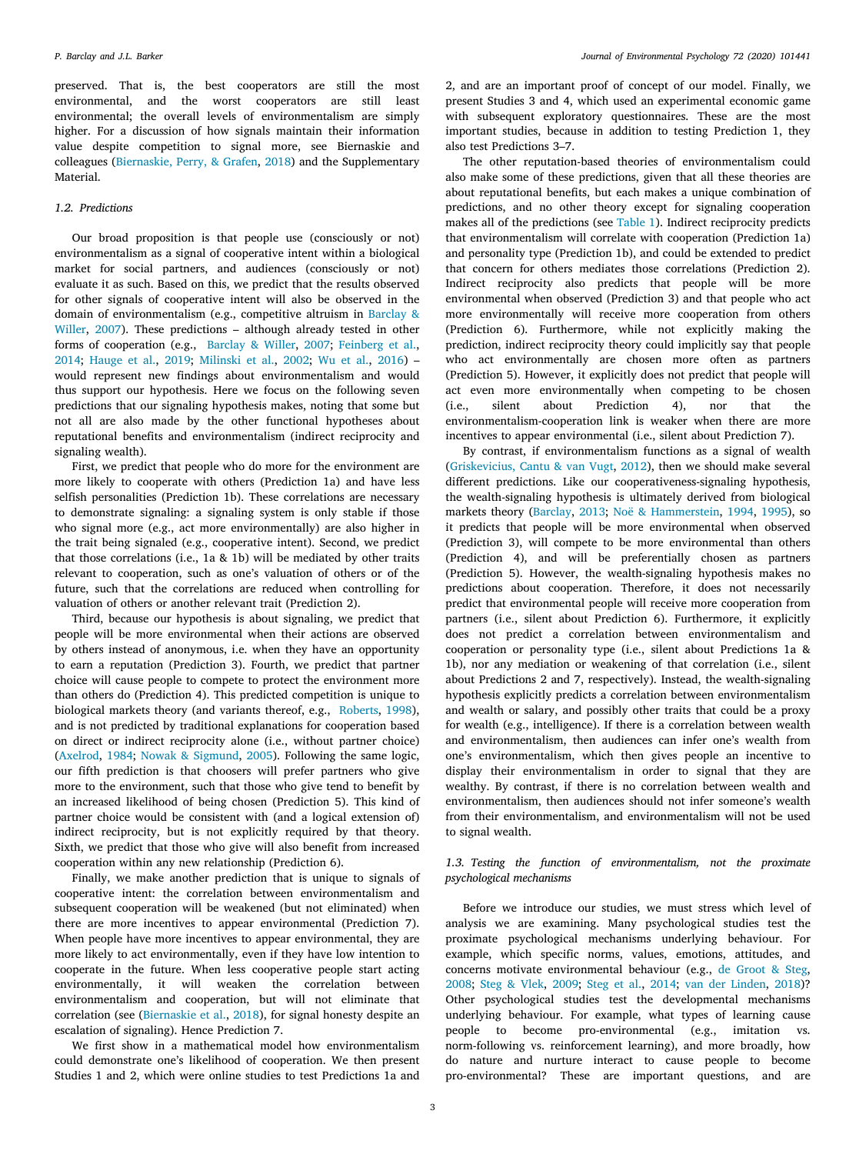preserved. That is, the best cooperators are still the most environmental, and the worst cooperators are still least environmental; the overall levels of environmentalism are simply higher. For a discussion of how signals maintain their information value despite competition to signal more, see Biernaskie and colleagues ([Biernaskie, Perry, & Grafen](#page-12-31), [2018\)](#page-12-31) and the Supplementary Material.

#### *1.2. Predictions*

Our broad proposition is that people use (consciously or not) environmentalism as a signal of cooperative intent within a biological market for social partners, and audiences (consciously or not) evaluate it as such. Based on this, we predict that the results observed for other signals of cooperative intent will also be observed in the domain of environmentalism (e.g., competitive altruism in [Barclay &](#page-12-4) [Willer](#page-12-4), [2007](#page-12-4)). These predictions – although already tested in other forms of cooperation (e.g., [Barclay & Willer](#page-12-4), [2007](#page-12-4); [Feinberg et al.](#page-12-6), [2014;](#page-12-6) [Hauge et al.](#page-12-24), [2019](#page-12-24); [Milinski et al.,](#page-12-7) [2002;](#page-12-7) [Wu et al.,](#page-13-5) [2016\)](#page-13-5) – would represent new findings about environmentalism and would thus support our hypothesis. Here we focus on the following seven predictions that our signaling hypothesis makes, noting that some but not all are also made by the other functional hypotheses about reputational benefits and environmentalism (indirect reciprocity and signaling wealth).

First, we predict that people who do more for the environment are more likely to cooperate with others (Prediction 1a) and have less selfish personalities (Prediction 1b). These correlations are necessary to demonstrate signaling: a signaling system is only stable if those who signal more (e.g., act more environmentally) are also higher in the trait being signaled (e.g., cooperative intent). Second, we predict that those correlations (i.e., 1a & 1b) will be mediated by other traits relevant to cooperation, such as one's valuation of others or of the future, such that the correlations are reduced when controlling for valuation of others or another relevant trait (Prediction 2).

Third, because our hypothesis is about signaling, we predict that people will be more environmental when their actions are observed by others instead of anonymous, i.e. when they have an opportunity to earn a reputation (Prediction 3). Fourth, we predict that partner choice will cause people to compete to protect the environment more than others do (Prediction 4). This predicted competition is unique to biological markets theory (and variants thereof, e.g., [Roberts](#page-13-12), [1998](#page-13-12)), and is not predicted by traditional explanations for cooperation based on direct or indirect reciprocity alone (i.e., without partner choice) ([Axelrod](#page-11-9), [1984;](#page-11-9) [Nowak & Sigmund](#page-12-14), [2005\)](#page-12-14). Following the same logic, our fifth prediction is that choosers will prefer partners who give more to the environment, such that those who give tend to benefit by an increased likelihood of being chosen (Prediction 5). This kind of partner choice would be consistent with (and a logical extension of) indirect reciprocity, but is not explicitly required by that theory. Sixth, we predict that those who give will also benefit from increased cooperation within any new relationship (Prediction 6).

Finally, we make another prediction that is unique to signals of cooperative intent: the correlation between environmentalism and subsequent cooperation will be weakened (but not eliminated) when there are more incentives to appear environmental (Prediction 7). When people have more incentives to appear environmental, they are more likely to act environmentally, even if they have low intention to cooperate in the future. When less cooperative people start acting environmentally, it will weaken the correlation between environmentalism and cooperation, but will not eliminate that correlation (see [\(Biernaskie et al.,](#page-12-31) [2018](#page-12-31)), for signal honesty despite an escalation of signaling). Hence Prediction 7.

We first show in a mathematical model how environmentalism could demonstrate one's likelihood of cooperation. We then present Studies 1 and 2, which were online studies to test Predictions 1a and 2, and are an important proof of concept of our model. Finally, we present Studies 3 and 4, which used an experimental economic game with subsequent exploratory questionnaires. These are the most important studies, because in addition to testing Prediction 1, they also test Predictions 3–7.

The other reputation-based theories of environmentalism could also make some of these predictions, given that all these theories are about reputational benefits, but each makes a unique combination of predictions, and no other theory except for signaling cooperation makes all of the predictions (see [Table](#page-10-0) [1\)](#page-10-0). Indirect reciprocity predicts that environmentalism will correlate with cooperation (Prediction 1a) and personality type (Prediction 1b), and could be extended to predict that concern for others mediates those correlations (Prediction 2). Indirect reciprocity also predicts that people will be more environmental when observed (Prediction 3) and that people who act more environmentally will receive more cooperation from others (Prediction 6). Furthermore, while not explicitly making the prediction, indirect reciprocity theory could implicitly say that people who act environmentally are chosen more often as partners (Prediction 5). However, it explicitly does not predict that people will act even more environmentally when competing to be chosen (i.e., silent about Prediction 4), nor that the environmentalism-cooperation link is weaker when there are more incentives to appear environmental (i.e., silent about Prediction 7).

By contrast, if environmentalism functions as a signal of wealth ([Griskevicius, Cantu & van Vugt,](#page-12-15) [2012\)](#page-12-15), then we should make several different predictions. Like our cooperativeness-signaling hypothesis, the wealth-signaling hypothesis is ultimately derived from biological markets theory ([Barclay](#page-11-6), [2013;](#page-11-6) [Noë & Hammerstein,](#page-12-29) [1994](#page-12-29), [1995\)](#page-12-30), so it predicts that people will be more environmental when observed (Prediction 3), will compete to be more environmental than others (Prediction 4), and will be preferentially chosen as partners (Prediction 5). However, the wealth-signaling hypothesis makes no predictions about cooperation. Therefore, it does not necessarily predict that environmental people will receive more cooperation from partners (i.e., silent about Prediction 6). Furthermore, it explicitly does not predict a correlation between environmentalism and cooperation or personality type (i.e., silent about Predictions 1a & 1b), nor any mediation or weakening of that correlation (i.e., silent about Predictions 2 and 7, respectively). Instead, the wealth-signaling hypothesis explicitly predicts a correlation between environmentalism and wealth or salary, and possibly other traits that could be a proxy for wealth (e.g., intelligence). If there is a correlation between wealth and environmentalism, then audiences can infer one's wealth from one's environmentalism, which then gives people an incentive to display their environmentalism in order to signal that they are wealthy. By contrast, if there is no correlation between wealth and environmentalism, then audiences should not infer someone's wealth from their environmentalism, and environmentalism will not be used to signal wealth.

# *1.3. Testing the function of environmentalism, not the proximate psychological mechanisms*

<span id="page-2-0"></span>Before we introduce our studies, we must stress which level of analysis we are examining. Many psychological studies test the proximate psychological mechanisms underlying behaviour. For example, which specific norms, values, emotions, attitudes, and concerns motivate environmental behaviour (e.g., [de Groot & Steg](#page-12-2), [2008;](#page-12-2) [Steg & Vlek](#page-13-1), [2009;](#page-13-1) [Steg et al.](#page-13-0), [2014](#page-13-0); [van der Linden,](#page-13-2) [2018\)](#page-13-2)? Other psychological studies test the developmental mechanisms underlying behaviour. For example, what types of learning cause people to become pro-environmental (e.g., imitation vs. norm-following vs. reinforcement learning), and more broadly, how do nature and nurture interact to cause people to become pro-environmental? These are important questions, and are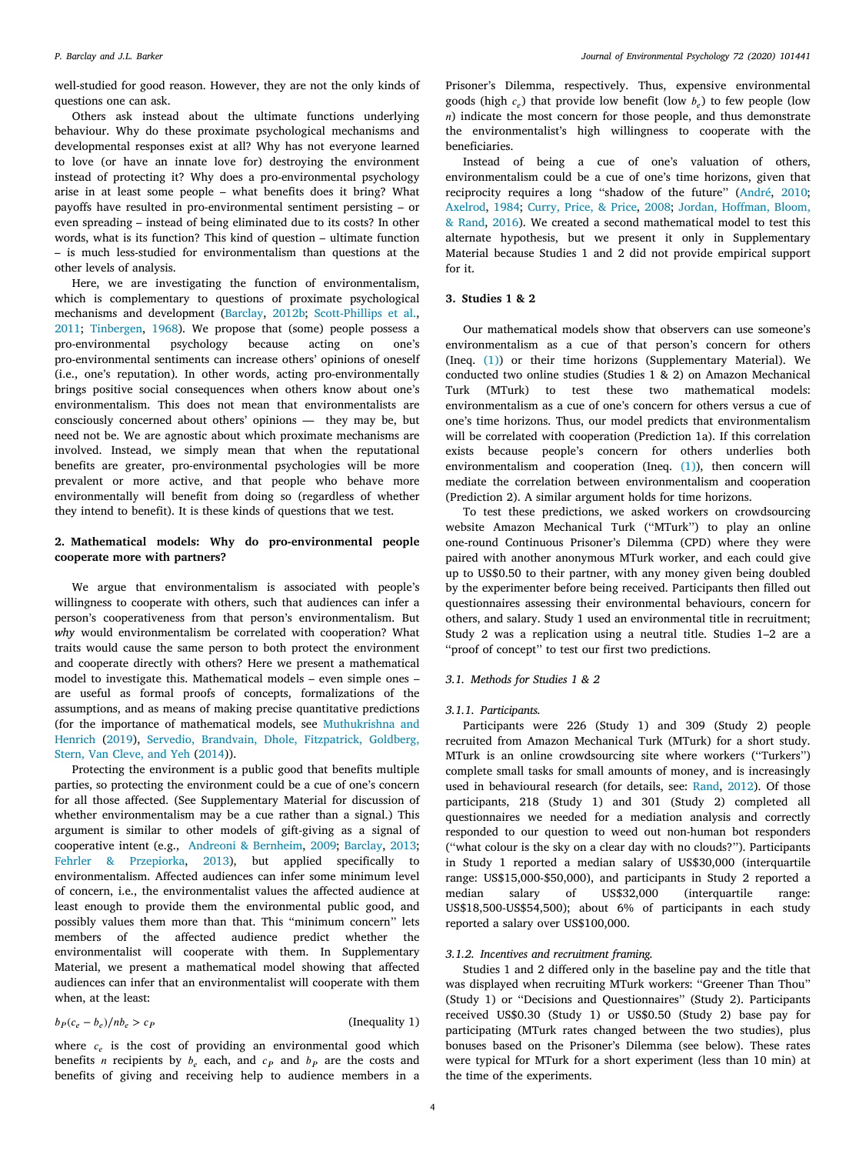well-studied for good reason. However, they are not the only kinds of questions one can ask.

Others ask instead about the ultimate functions underlying behaviour. Why do these proximate psychological mechanisms and developmental responses exist at all? Why has not everyone learned to love (or have an innate love for) destroying the environment instead of protecting it? Why does a pro-environmental psychology arise in at least some people – what benefits does it bring? What payoffs have resulted in pro-environmental sentiment persisting – or even spreading – instead of being eliminated due to its costs? In other words, what is its function? This kind of question – ultimate function – is much less-studied for environmentalism than questions at the other levels of analysis.

Here, we are investigating the function of environmentalism, which is complementary to questions of proximate psychological mechanisms and development ([Barclay](#page-11-10), [2012b;](#page-11-10) [Scott-Phillips et al.](#page-13-3), [2011;](#page-13-3) [Tinbergen,](#page-13-4) [1968](#page-13-4)). We propose that (some) people possess a pro-environmental psychology because acting on one's pro-environmental sentiments can increase others' opinions of oneself (i.e., one's reputation). In other words, acting pro-environmentally brings positive social consequences when others know about one's environmentalism. This does not mean that environmentalists are consciously concerned about others' opinions — they may be, but need not be. We are agnostic about which proximate mechanisms are involved. Instead, we simply mean that when the reputational benefits are greater, pro-environmental psychologies will be more prevalent or more active, and that people who behave more environmentally will benefit from doing so (regardless of whether they intend to benefit). It is these kinds of questions that we test.

# **2. Mathematical models: Why do pro-environmental people cooperate more with partners?**

<span id="page-3-0"></span>We argue that environmentalism is associated with people's willingness to cooperate with others, such that audiences can infer a person's cooperativeness from that person's environmentalism. But *why* would environmentalism be correlated with cooperation? What traits would cause the same person to both protect the environment and cooperate directly with others? Here we present a mathematical model to investigate this. Mathematical models – even simple ones – are useful as formal proofs of concepts, formalizations of the assumptions, and as means of making precise quantitative predictions (for the importance of mathematical models, see [Muthukrishna and](#page-12-32) [Henrich](#page-12-32) [\(2019](#page-12-32)), [Servedio, Brandvain, Dhole, Fitzpatrick, Goldberg,](#page-13-15) [Stern, Van Cleve, and Yeh](#page-13-15) ([2014](#page-13-15))).

Protecting the environment is a public good that benefits multiple parties, so protecting the environment could be a cue of one's concern for all those affected. (See Supplementary Material for discussion of whether environmentalism may be a cue rather than a signal.) This argument is similar to other models of gift-giving as a signal of cooperative intent (e.g., [Andreoni & Bernheim](#page-11-2), [2009](#page-11-2); [Barclay,](#page-11-6) [2013](#page-11-6); [Fehrler & Przepiorka](#page-12-5), [2013\)](#page-12-5), but applied specifically to environmentalism. Affected audiences can infer some minimum level of concern, i.e., the environmentalist values the affected audience at least enough to provide them the environmental public good, and possibly values them more than that. This ''minimum concern'' lets members of the affected audience predict whether the environmentalist will cooperate with them. In Supplementary Material, we present a mathematical model showing that affected audiences can infer that an environmentalist will cooperate with them when, at the least:

 $b_P(c_e - b_e)/nb_e > c_P$ (Inequality 1)

where  $c_e$  is the cost of providing an environmental good which benefits *n* recipients by  $b_e$  each, and  $c_p$  and  $b_p$  are the costs and benefits of giving and receiving help to audience members in a Prisoner's Dilemma, respectively. Thus, expensive environmental goods (high  $c_e$ ) that provide low benefit (low  $b_e$ ) to few people (low  $n)$  indicate the most concern for those people, and thus demonstrate the environmentalist's high willingness to cooperate with the beneficiaries.

Instead of being a cue of one's valuation of others, environmentalism could be a cue of one's time horizons, given that reciprocity requires a long ''shadow of the future'' ([André](#page-11-5), [2010](#page-11-5); [Axelrod](#page-11-9), [1984;](#page-11-9) [Curry, Price, & Price,](#page-12-33) [2008](#page-12-33); [Jordan, Hoffman, Bloom,](#page-12-34) [& Rand,](#page-12-34) [2016\)](#page-12-34). We created a second mathematical model to test this alternate hypothesis, but we present it only in Supplementary Material because Studies 1 and 2 did not provide empirical support for it.

# **3. Studies 1 & 2**

Our mathematical models show that observers can use someone's environmentalism as a cue of that person's concern for others (Ineq. ([1](#page-3-1))) or their time horizons (Supplementary Material). We conducted two online studies (Studies 1 & 2) on Amazon Mechanical Turk (MTurk) to test these two mathematical models: environmentalism as a cue of one's concern for others versus a cue of one's time horizons. Thus, our model predicts that environmentalism will be correlated with cooperation (Prediction 1a). If this correlation exists because people's concern for others underlies both environmentalism and cooperation (Ineq. [\(1\)](#page-3-1)), then concern will mediate the correlation between environmentalism and cooperation (Prediction 2). A similar argument holds for time horizons.

To test these predictions, we asked workers on crowdsourcing website Amazon Mechanical Turk (''MTurk'') to play an online one-round Continuous Prisoner's Dilemma (CPD) where they were paired with another anonymous MTurk worker, and each could give up to US\$0.50 to their partner, with any money given being doubled by the experimenter before being received. Participants then filled out questionnaires assessing their environmental behaviours, concern for others, and salary. Study 1 used an environmental title in recruitment; Study 2 was a replication using a neutral title. Studies 1–2 are a ''proof of concept'' to test our first two predictions.

### *3.1. Methods for Studies 1 & 2*

#### *3.1.1. Participants.*

Participants were 226 (Study 1) and 309 (Study 2) people recruited from Amazon Mechanical Turk (MTurk) for a short study. MTurk is an online crowdsourcing site where workers (''Turkers'') complete small tasks for small amounts of money, and is increasingly used in behavioural research (for details, see: [Rand,](#page-13-16) [2012\)](#page-13-16). Of those participants, 218 (Study 1) and 301 (Study 2) completed all questionnaires we needed for a mediation analysis and correctly responded to our question to weed out non-human bot responders (''what colour is the sky on a clear day with no clouds?''). Participants in Study 1 reported a median salary of US\$30,000 (interquartile range: US\$15,000-\$50,000), and participants in Study 2 reported a median salary of US\$32,000 (interquartile range: US\$18,500-US\$54,500); about 6% of participants in each study reported a salary over US\$100,000.

#### *3.1.2. Incentives and recruitment framing.*

<span id="page-3-1"></span>Studies 1 and 2 differed only in the baseline pay and the title that was displayed when recruiting MTurk workers: ''Greener Than Thou'' (Study 1) or ''Decisions and Questionnaires'' (Study 2). Participants received US\$0.30 (Study 1) or US\$0.50 (Study 2) base pay for participating (MTurk rates changed between the two studies), plus bonuses based on the Prisoner's Dilemma (see below). These rates were typical for MTurk for a short experiment (less than 10 min) at the time of the experiments.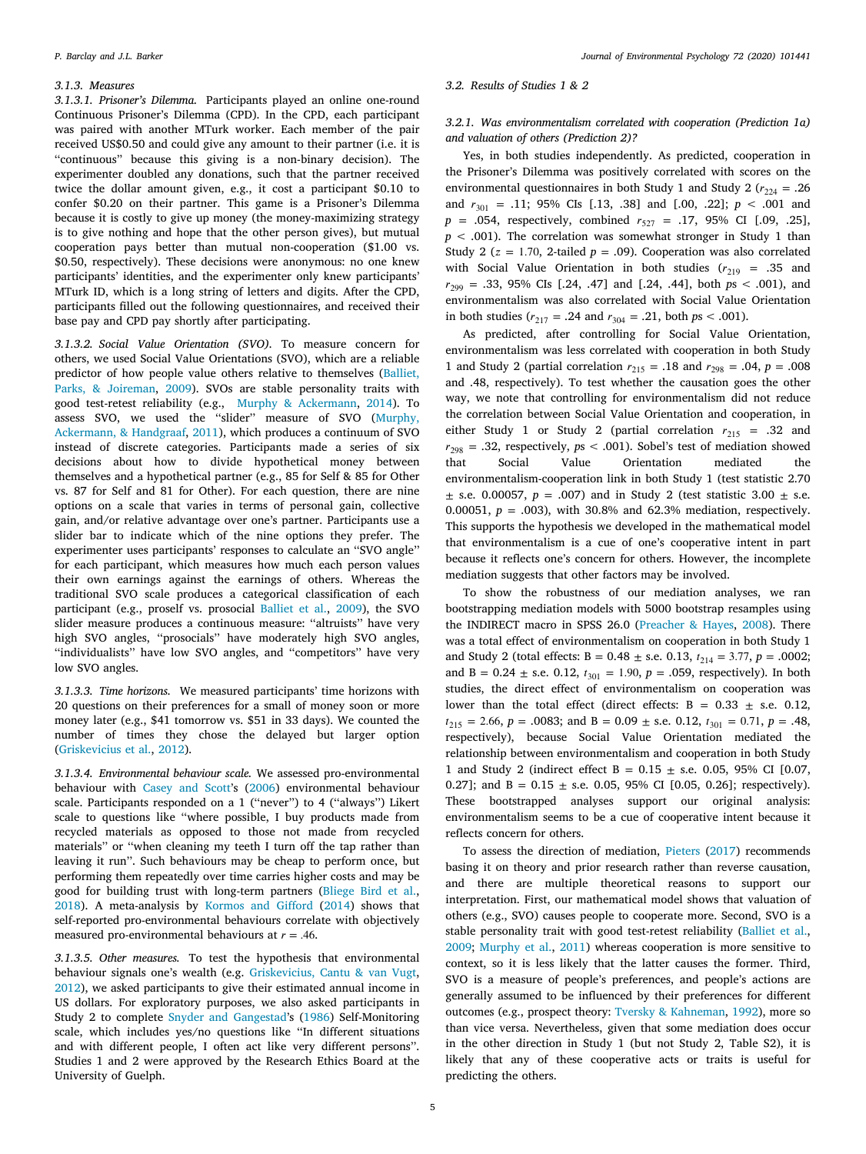#### *3.1.3. Measures*

*3.1.3.1. Prisoner's Dilemma.* Participants played an online one-round Continuous Prisoner's Dilemma (CPD). In the CPD, each participant was paired with another MTurk worker. Each member of the pair received US\$0.50 and could give any amount to their partner (i.e. it is ''continuous'' because this giving is a non-binary decision). The experimenter doubled any donations, such that the partner received twice the dollar amount given, e.g., it cost a participant \$0.10 to confer \$0.20 on their partner. This game is a Prisoner's Dilemma because it is costly to give up money (the money-maximizing strategy is to give nothing and hope that the other person gives), but mutual cooperation pays better than mutual non-cooperation (\$1.00 vs. \$0.50, respectively). These decisions were anonymous: no one knew participants' identities, and the experimenter only knew participants' MTurk ID, which is a long string of letters and digits. After the CPD, participants filled out the following questionnaires, and received their base pay and CPD pay shortly after participating.

*3.1.3.2. Social Value Orientation (SVO).* To measure concern for others, we used Social Value Orientations (SVO), which are a reliable predictor of how people value others relative to themselves ([Balliet,](#page-11-11) [Parks, & Joireman,](#page-11-11) [2009\)](#page-11-11). SVOs are stable personality traits with good test-retest reliability (e.g., [Murphy & Ackermann,](#page-12-35) [2014\)](#page-12-35). To assess SVO, we used the "slider" measure of SVO ([Murphy,](#page-12-36) [Ackermann, & Handgraaf,](#page-12-36) [2011](#page-12-36)), which produces a continuum of SVO instead of discrete categories. Participants made a series of six decisions about how to divide hypothetical money between themselves and a hypothetical partner (e.g., 85 for Self & 85 for Other vs. 87 for Self and 81 for Other). For each question, there are nine options on a scale that varies in terms of personal gain, collective gain, and/or relative advantage over one's partner. Participants use a slider bar to indicate which of the nine options they prefer. The experimenter uses participants' responses to calculate an ''SVO angle'' for each participant, which measures how much each person values their own earnings against the earnings of others. Whereas the traditional SVO scale produces a categorical classification of each participant (e.g., proself vs. prosocial [Balliet et al.,](#page-11-11) [2009\)](#page-11-11), the SVO slider measure produces a continuous measure: ''altruists'' have very high SVO angles, ''prosocials'' have moderately high SVO angles, "individualists" have low SVO angles, and "competitors" have very low SVO angles.

*3.1.3.3. Time horizons.* We measured participants' time horizons with 20 questions on their preferences for a small of money soon or more money later (e.g., \$41 tomorrow vs. \$51 in 33 days). We counted the number of times they chose the delayed but larger option ([Griskevicius et al.,](#page-12-37) [2012\)](#page-12-37).

*3.1.3.4. Environmental behaviour scale.* We assessed pro-environmental behaviour with [Casey and Scott'](#page-12-38)s ([2006](#page-12-38)) environmental behaviour scale. Participants responded on a 1 (''never'') to 4 (''always'') Likert scale to questions like ''where possible, I buy products made from recycled materials as opposed to those not made from recycled materials'' or ''when cleaning my teeth I turn off the tap rather than leaving it run''. Such behaviours may be cheap to perform once, but performing them repeatedly over time carries higher costs and may be good for building trust with long-term partners [\(Bliege Bird et al.](#page-12-21), [2018\)](#page-12-21). A meta-analysis by [Kormos and Gifford](#page-12-39) ([2014\)](#page-12-39) shows that self-reported pro-environmental behaviours correlate with objectively measured pro-environmental behaviours at  $r = .46$ .

*3.1.3.5. Other measures.* To test the hypothesis that environmental behaviour signals one's wealth (e.g. [Griskevicius, Cantu & van Vugt](#page-12-15), [2012\)](#page-12-15), we asked participants to give their estimated annual income in US dollars. For exploratory purposes, we also asked participants in Study 2 to complete [Snyder and Gangestad](#page-13-17)'s ([1986\)](#page-13-17) Self-Monitoring scale, which includes yes/no questions like ''In different situations and with different people, I often act like very different persons''. Studies 1 and 2 were approved by the Research Ethics Board at the University of Guelph.

#### *3.2. Results of Studies 1 & 2*

# *3.2.1. Was environmentalism correlated with cooperation (Prediction 1a) and valuation of others (Prediction 2)?*

Yes, in both studies independently. As predicted, cooperation in the Prisoner's Dilemma was positively correlated with scores on the environmental questionnaires in both Study 1 and Study 2 ( $r_{224}$  = .26 and  $r_{301} = .11$ ; 95% CIs [.13, .38] and [.00, .22];  $p < .001$  and  $p = .054$ , respectively, combined  $r_{527} = .17, 95\%$  CI [.09, .25],  $p < .001$ ). The correlation was somewhat stronger in Study 1 than Study 2 ( $z = 1.70$ , 2-tailed  $p = .09$ ). Cooperation was also correlated with Social Value Orientation in both studies  $(r_{219} = .35$  and  $r_{299} = .33, 95\% \text{ CIs } [.24, .47] \text{ and } [.24, .44], \text{ both } ps < .001), \text{ and }$ environmentalism was also correlated with Social Value Orientation in both studies ( $r_{217} = .24$  and  $r_{304} = .21$ , both  $ps < .001$ ).

As predicted, after controlling for Social Value Orientation, environmentalism was less correlated with cooperation in both Study 1 and Study 2 (partial correlation  $r_{215} = .18$  and  $r_{298} = .04$ ,  $p = .008$ and .48, respectively). To test whether the causation goes the other way, we note that controlling for environmentalism did not reduce the correlation between Social Value Orientation and cooperation, in either Study 1 or Study 2 (partial correlation  $r_{215}$  = .32 and  $r_{298} = .32$ , respectively,  $ps < .001$ ). Sobel's test of mediation showed<br>that Social Value Orientation mediated the Orientation mediated the environmentalism-cooperation link in both Study 1 (test statistic 2.70  $\pm$  s.e. 0.00057,  $p = .007$ ) and in Study 2 (test statistic 3.00  $\pm$  s.e. 0.00051, *p* = .003), with 30.8% and 62.3% mediation, respectively. This supports the hypothesis we developed in the mathematical model that environmentalism is a cue of one's cooperative intent in part because it reflects one's concern for others. However, the incomplete mediation suggests that other factors may be involved.

To show the robustness of our mediation analyses, we ran bootstrapping mediation models with 5000 bootstrap resamples using the INDIRECT macro in SPSS 26.0 ([Preacher & Hayes,](#page-13-18) [2008\)](#page-13-18). There was a total effect of environmentalism on cooperation in both Study 1 and Study 2 (total effects: B =  $0.48 \pm$  s.e.  $0.13$ ,  $t_{214} = 3.77$ ,  $p = .0002$ ; and B =  $0.24 \pm$  s.e. 0.12,  $t_{301} = 1.90$ ,  $p = .059$ , respectively). In both studies, the direct effect of environmentalism on cooperation was lower than the total effect (direct effects:  $B = 0.33 \pm$  s.e. 0.12,  $t_{215} = 2.66$ ,  $p = .0083$ ; and  $B = 0.09 \pm$  s.e. 0.12,  $t_{301} = 0.71$ ,  $p = .48$ , respectively), because Social Value Orientation mediated the relationship between environmentalism and cooperation in both Study 1 and Study 2 (indirect effect B =  $0.15 \pm$  s.e. 0.05, 95% CI [0.07, 0.27]; and B =  $0.15 \pm$  s.e. 0.05, 95% CI [0.05, 0.26]; respectively). These bootstrapped analyses support our original analysis: environmentalism seems to be a cue of cooperative intent because it reflects concern for others.

To assess the direction of mediation, [Pieters](#page-12-40) [\(2017](#page-12-40)) recommends basing it on theory and prior research rather than reverse causation, and there are multiple theoretical reasons to support our interpretation. First, our mathematical model shows that valuation of others (e.g., SVO) causes people to cooperate more. Second, SVO is a stable personality trait with good test-retest reliability ([Balliet et al.](#page-11-11), [2009;](#page-11-11) [Murphy et al.,](#page-12-36) [2011](#page-12-36)) whereas cooperation is more sensitive to context, so it is less likely that the latter causes the former. Third, SVO is a measure of people's preferences, and people's actions are generally assumed to be influenced by their preferences for different outcomes (e.g., prospect theory: [Tversky & Kahneman,](#page-13-19) [1992\)](#page-13-19), more so than vice versa. Nevertheless, given that some mediation does occur in the other direction in Study 1 (but not Study 2, Table S2), it is likely that any of these cooperative acts or traits is useful for predicting the others.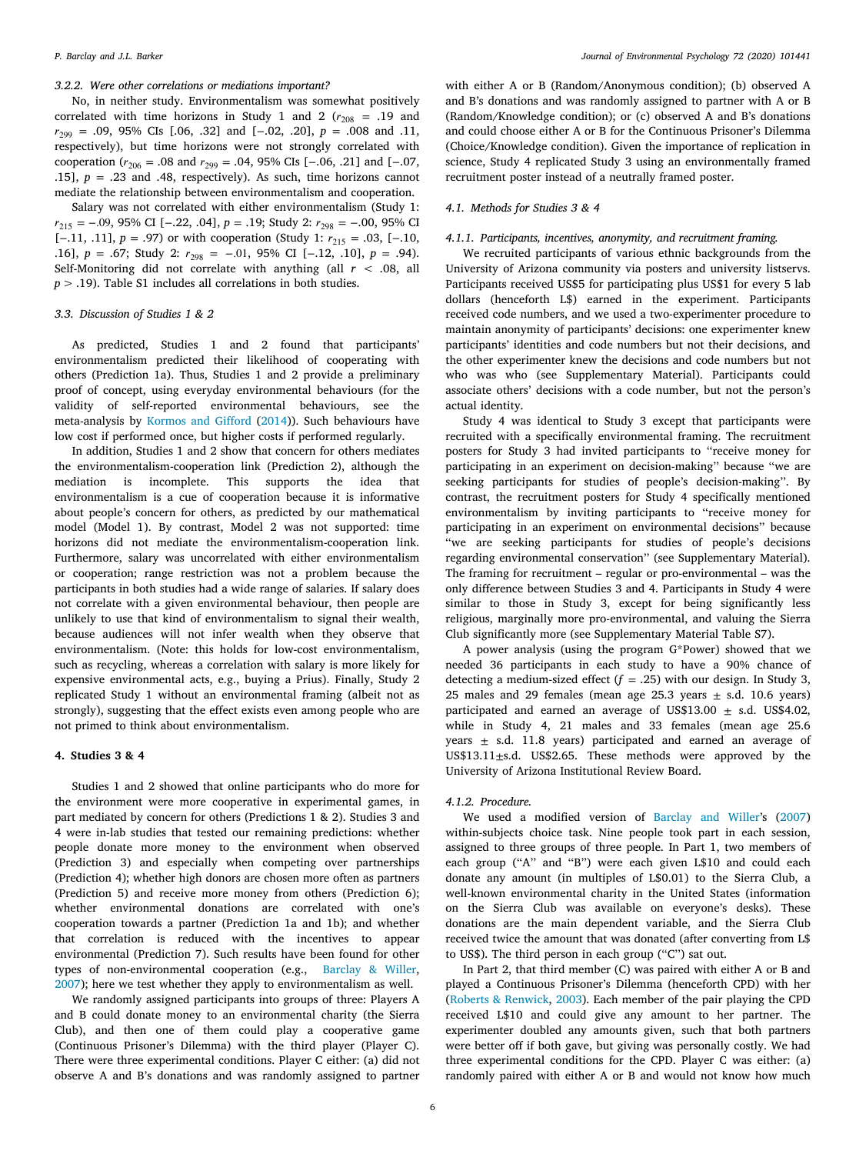# *3.2.2. Were other correlations or mediations important?*

No, in neither study. Environmentalism was somewhat positively correlated with time horizons in Study 1 and 2 ( $r_{208}$  = .19 and <sup>299</sup> = .09, 95% CIs [.06, .32] and [−.02, .20], *p* = .008 and .11, respectively), but time horizons were not strongly correlated with cooperation ( $r_{206}$  = .08 and  $r_{299}$  = .04, 95% CIs [-.06, .21] and [-.07, .15],  $p = .23$  and .48, respectively). As such, time horizons cannot mediate the relationship between environmentalism and cooperation.

Salary was not correlated with either environmentalism (Study 1:  $r_{215} = -.09, 95\%$  CI [−.22, .04],  $p = .19$ ; Study 2:  $r_{298} = -.00, 95\%$  CI [-.11, .11],  $p = .97$ ) or with cooperation (Study 1:  $r_{215} = .03$ , [-.10, .16], *p* = .67; Study 2:  $r_{298}$  = −.01, 95% CI [−.12, .10], *p* = .94). Self-Monitoring did not correlate with anything (all *r* < .08, all *p* > .19). Table S1 includes all correlations in both studies.

#### *3.3. Discussion of Studies 1 & 2*

As predicted, Studies 1 and 2 found that participants' environmentalism predicted their likelihood of cooperating with others (Prediction 1a). Thus, Studies 1 and 2 provide a preliminary proof of concept, using everyday environmental behaviours (for the validity of self-reported environmental behaviours, see the meta-analysis by [Kormos and Gifford](#page-12-39) ([2014\)](#page-12-39)). Such behaviours have low cost if performed once, but higher costs if performed regularly.

In addition, Studies 1 and 2 show that concern for others mediates the environmentalism-cooperation link (Prediction 2), although the mediation is incomplete. This supports the idea that environmentalism is a cue of cooperation because it is informative about people's concern for others, as predicted by our mathematical model (Model 1). By contrast, Model 2 was not supported: time horizons did not mediate the environmentalism-cooperation link. Furthermore, salary was uncorrelated with either environmentalism or cooperation; range restriction was not a problem because the participants in both studies had a wide range of salaries. If salary does not correlate with a given environmental behaviour, then people are unlikely to use that kind of environmentalism to signal their wealth, because audiences will not infer wealth when they observe that environmentalism. (Note: this holds for low-cost environmentalism, such as recycling, whereas a correlation with salary is more likely for expensive environmental acts, e.g., buying a Prius). Finally, Study 2 replicated Study 1 without an environmental framing (albeit not as strongly), suggesting that the effect exists even among people who are not primed to think about environmentalism.

#### **4. Studies 3 & 4**

Studies 1 and 2 showed that online participants who do more for the environment were more cooperative in experimental games, in part mediated by concern for others (Predictions 1 & 2). Studies 3 and 4 were in-lab studies that tested our remaining predictions: whether people donate more money to the environment when observed (Prediction 3) and especially when competing over partnerships (Prediction 4); whether high donors are chosen more often as partners (Prediction 5) and receive more money from others (Prediction 6); whether environmental donations are correlated with one's cooperation towards a partner (Prediction 1a and 1b); and whether that correlation is reduced with the incentives to appear environmental (Prediction 7). Such results have been found for other types of non-environmental cooperation (e.g., [Barclay & Willer](#page-12-4), [2007\)](#page-12-4); here we test whether they apply to environmentalism as well.

We randomly assigned participants into groups of three: Players A and B could donate money to an environmental charity (the Sierra Club), and then one of them could play a cooperative game (Continuous Prisoner's Dilemma) with the third player (Player C). There were three experimental conditions. Player C either: (a) did not observe A and B's donations and was randomly assigned to partner

with either A or B (Random/Anonymous condition); (b) observed A and B's donations and was randomly assigned to partner with A or B (Random/Knowledge condition); or (c) observed A and B's donations and could choose either A or B for the Continuous Prisoner's Dilemma (Choice/Knowledge condition). Given the importance of replication in science, Study 4 replicated Study 3 using an environmentally framed recruitment poster instead of a neutrally framed poster.

### *4.1. Methods for Studies 3 & 4*

#### *4.1.1. Participants, incentives, anonymity, and recruitment framing.*

We recruited participants of various ethnic backgrounds from the University of Arizona community via posters and university listservs. Participants received US\$5 for participating plus US\$1 for every 5 lab dollars (henceforth L\$) earned in the experiment. Participants received code numbers, and we used a two-experimenter procedure to maintain anonymity of participants' decisions: one experimenter knew participants' identities and code numbers but not their decisions, and the other experimenter knew the decisions and code numbers but not who was who (see Supplementary Material). Participants could associate others' decisions with a code number, but not the person's actual identity.

Study 4 was identical to Study 3 except that participants were recruited with a specifically environmental framing. The recruitment posters for Study 3 had invited participants to ''receive money for participating in an experiment on decision-making'' because ''we are seeking participants for studies of people's decision-making''. By contrast, the recruitment posters for Study 4 specifically mentioned environmentalism by inviting participants to ''receive money for participating in an experiment on environmental decisions'' because ''we are seeking participants for studies of people's decisions regarding environmental conservation'' (see Supplementary Material). The framing for recruitment – regular or pro-environmental – was the only difference between Studies 3 and 4. Participants in Study 4 were similar to those in Study 3, except for being significantly less religious, marginally more pro-environmental, and valuing the Sierra Club significantly more (see Supplementary Material Table S7).

A power analysis (using the program G\*Power) showed that we needed 36 participants in each study to have a 90% chance of detecting a medium-sized effect  $(f = .25)$  with our design. In Study 3, 25 males and 29 females (mean age 25.3 years  $\pm$  s.d. 10.6 years) participated and earned an average of US\$13.00  $\pm$  s.d. US\$4.02, while in Study 4, 21 males and 33 females (mean age 25.6 years  $\pm$  s.d. 11.8 years) participated and earned an average of US\$13.11±s.d. US\$2.65. These methods were approved by the University of Arizona Institutional Review Board.

#### *4.1.2. Procedure.*

We used a modified version of [Barclay and Willer'](#page-12-4)s ([2007\)](#page-12-4) within-subjects choice task. Nine people took part in each session, assigned to three groups of three people. In Part 1, two members of each group ("A" and "B") were each given L\$10 and could each donate any amount (in multiples of L\$0.01) to the Sierra Club, a well-known environmental charity in the United States (information on the Sierra Club was available on everyone's desks). These donations are the main dependent variable, and the Sierra Club received twice the amount that was donated (after converting from L\$ to US\$). The third person in each group (''C'') sat out.

In Part 2, that third member (C) was paired with either A or B and played a Continuous Prisoner's Dilemma (henceforth CPD) with her ([Roberts & Renwick,](#page-13-20) [2003](#page-13-20)). Each member of the pair playing the CPD received L\$10 and could give any amount to her partner. The experimenter doubled any amounts given, such that both partners were better off if both gave, but giving was personally costly. We had three experimental conditions for the CPD. Player C was either: (a) randomly paired with either A or B and would not know how much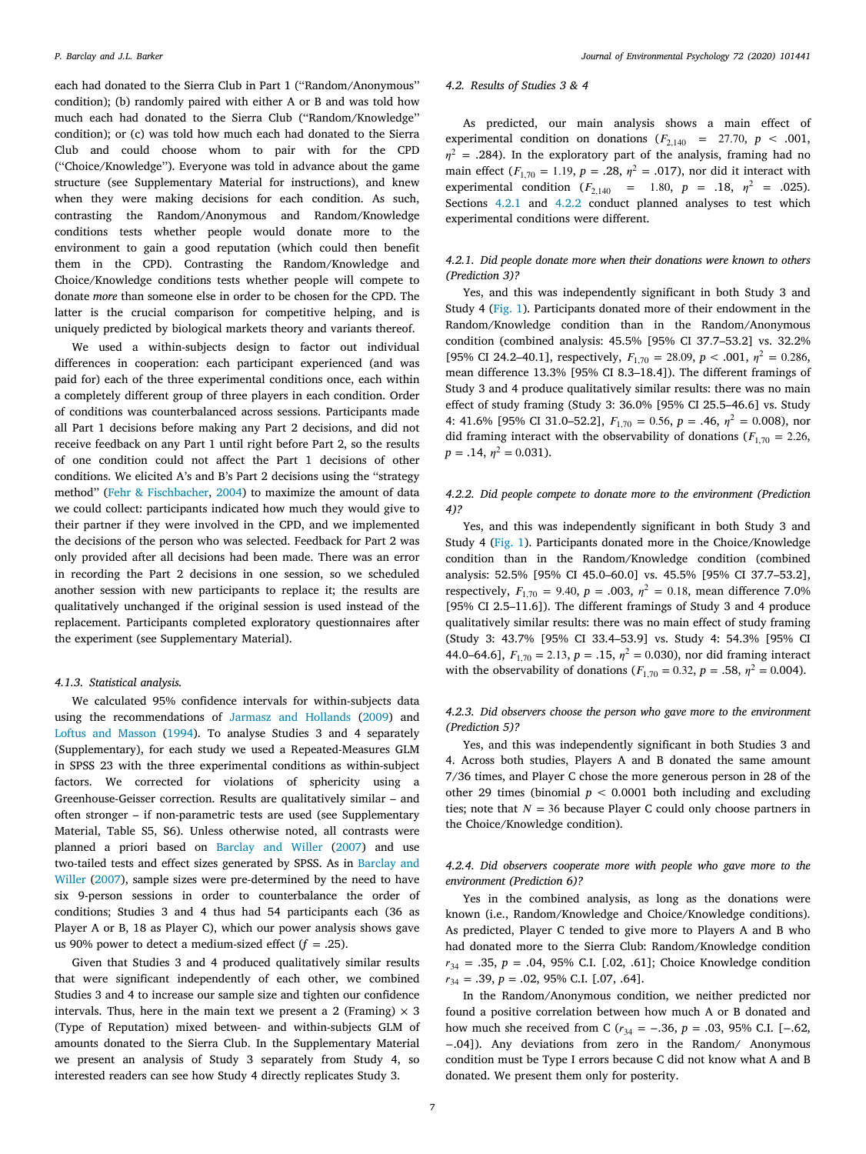each had donated to the Sierra Club in Part 1 (''Random/Anonymous'' condition); (b) randomly paired with either A or B and was told how much each had donated to the Sierra Club (''Random/Knowledge'' condition); or (c) was told how much each had donated to the Sierra Club and could choose whom to pair with for the CPD (''Choice/Knowledge''). Everyone was told in advance about the game structure (see Supplementary Material for instructions), and knew when they were making decisions for each condition. As such, contrasting the Random/Anonymous and Random/Knowledge conditions tests whether people would donate more to the environment to gain a good reputation (which could then benefit them in the CPD). Contrasting the Random/Knowledge and Choice/Knowledge conditions tests whether people will compete to donate *more* than someone else in order to be chosen for the CPD. The latter is the crucial comparison for competitive helping, and is uniquely predicted by biological markets theory and variants thereof.

We used a within-subjects design to factor out individual differences in cooperation: each participant experienced (and was paid for) each of the three experimental conditions once, each within a completely different group of three players in each condition. Order of conditions was counterbalanced across sessions. Participants made all Part 1 decisions before making any Part 2 decisions, and did not receive feedback on any Part 1 until right before Part 2, so the results of one condition could not affect the Part 1 decisions of other conditions. We elicited A's and B's Part 2 decisions using the ''strategy method'' [\(Fehr & Fischbacher,](#page-12-41) [2004\)](#page-12-41) to maximize the amount of data we could collect: participants indicated how much they would give to their partner if they were involved in the CPD, and we implemented the decisions of the person who was selected. Feedback for Part 2 was only provided after all decisions had been made. There was an error in recording the Part 2 decisions in one session, so we scheduled another session with new participants to replace it; the results are qualitatively unchanged if the original session is used instead of the replacement. Participants completed exploratory questionnaires after the experiment (see Supplementary Material).

#### *4.1.3. Statistical analysis.*

We calculated 95% confidence intervals for within-subjects data using the recommendations of [Jarmasz and Hollands](#page-12-42) [\(2009](#page-12-42)) and [Loftus and Masson](#page-12-43) ([1994\)](#page-12-43). To analyse Studies 3 and 4 separately (Supplementary), for each study we used a Repeated-Measures GLM in SPSS 23 with the three experimental conditions as within-subject factors. We corrected for violations of sphericity using a Greenhouse-Geisser correction. Results are qualitatively similar – and often stronger – if non-parametric tests are used (see Supplementary Material, Table S5, S6). Unless otherwise noted, all contrasts were planned a priori based on [Barclay and Willer](#page-12-4) ([2007\)](#page-12-4) and use two-tailed tests and effect sizes generated by SPSS. As in [Barclay and](#page-12-4) [Willer](#page-12-4) [\(2007](#page-12-4)), sample sizes were pre-determined by the need to have six 9-person sessions in order to counterbalance the order of conditions; Studies 3 and 4 thus had 54 participants each (36 as Player A or B, 18 as Player C), which our power analysis shows gave us 90% power to detect a medium-sized effect  $(f = .25)$ .

Given that Studies 3 and 4 produced qualitatively similar results that were significant independently of each other, we combined Studies 3 and 4 to increase our sample size and tighten our confidence intervals. Thus, here in the main text we present a 2 (Framing)  $\times$  3 (Type of Reputation) mixed between- and within-subjects GLM of amounts donated to the Sierra Club. In the Supplementary Material we present an analysis of Study 3 separately from Study 4, so interested readers can see how Study 4 directly replicates Study 3.

#### *4.2. Results of Studies 3 & 4*

As predicted, our main analysis shows a main effect of experimental condition on donations  $(F_{2,140} = 27.70, p < .001,$  $\eta^2$  = .284). In the exploratory part of the analysis, framing had no main effect  $(F_{1,70} = 1.19, p = .28, \eta^2 = .017)$ , nor did it interact with experimental condition ( $F_{2,140}$  = 1.80,  $p$  = .18,  $\eta^2$  = .025). Sections [4.2.1](#page-6-0) and [4.2.2](#page-6-1) conduct planned analyses to test which experimental conditions were different.

# *4.2.1. Did people donate more when their donations were known to others (Prediction 3)?*

<span id="page-6-0"></span>Yes, and this was independently significant in both Study 3 and Study 4 [\(Fig.](#page-7-0) [1\)](#page-7-0). Participants donated more of their endowment in the Random/Knowledge condition than in the Random/Anonymous condition (combined analysis: 45.5% [95% CI 37.7–53.2] vs. 32.2% [95% CI 24.2–40.1], respectively,  $F_{1,70} = 28.09$ ,  $p < .001$ ,  $\eta^2 = 0.286$ , mean difference 13.3% [95% CI 8.3–18.4]). The different framings of Study 3 and 4 produce qualitatively similar results: there was no main effect of study framing (Study 3: 36.0% [95% CI 25.5–46.6] vs. Study 4: 41.6% [95% CI 31.0–52.2],  $F_{1,70} = 0.56$ ,  $p = .46$ ,  $\eta^2 = 0.008$ ), nor did framing interact with the observability of donations ( $F_{1,70} = 2.26$ ,  $p = .14, \eta^2 = 0.031$ .

# *4.2.2. Did people compete to donate more to the environment (Prediction 4)?*

<span id="page-6-1"></span>Yes, and this was independently significant in both Study 3 and Study 4 [\(Fig.](#page-7-0) [1\)](#page-7-0). Participants donated more in the Choice/Knowledge condition than in the Random/Knowledge condition (combined analysis: 52.5% [95% CI 45.0–60.0] vs. 45.5% [95% CI 37.7–53.2], respectively,  $F_{1,70} = 9.40$ ,  $p = .003$ ,  $\eta^2 = 0.18$ , mean difference 7.0% [95% CI 2.5–11.6]). The different framings of Study 3 and 4 produce qualitatively similar results: there was no main effect of study framing (Study 3: 43.7% [95% CI 33.4–53.9] vs. Study 4: 54.3% [95% CI 44.0–64.6],  $F_{1,70} = 2.13$ ,  $p = .15$ ,  $\eta^2 = 0.030$ ), nor did framing interact with the observability of donations ( $F_{1,70} = 0.32$ ,  $p = .58$ ,  $\eta^2 = 0.004$ ).

# *4.2.3. Did observers choose the person who gave more to the environment (Prediction 5)?*

Yes, and this was independently significant in both Studies 3 and 4. Across both studies, Players A and B donated the same amount 7/36 times, and Player C chose the more generous person in 28 of the other 29 times (binomial  $p < 0.0001$  both including and excluding ties; note that  $N = 36$  because Player C could only choose partners in the Choice/Knowledge condition).

# *4.2.4. Did observers cooperate more with people who gave more to the environment (Prediction 6)?*

Yes in the combined analysis, as long as the donations were known (i.e., Random/Knowledge and Choice/Knowledge conditions). As predicted, Player C tended to give more to Players A and B who had donated more to the Sierra Club: Random/Knowledge condition <sup>34</sup> = .35, *p* = .04, 95% C.I. [.02, .61]; Choice Knowledge condition  $r_{34} = .39, p = .02, 95\%$  C.I. [.07, .64].

In the Random/Anonymous condition, we neither predicted nor found a positive correlation between how much A or B donated and how much she received from C ( $r_{34} = -.36$ ,  $p = .03$ , 95% C.I. [−.62, −.04]). Any deviations from zero in the Random/ Anonymous condition must be Type I errors because C did not know what A and B donated. We present them only for posterity.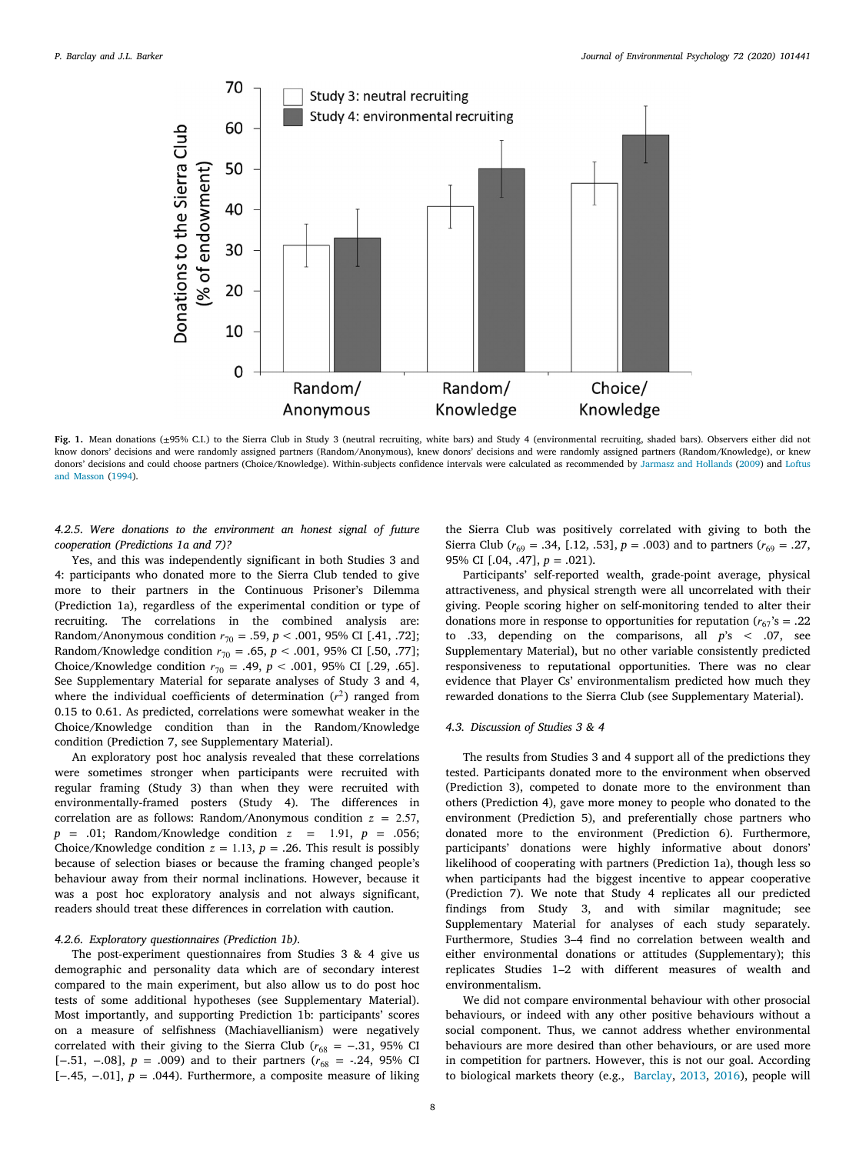

<span id="page-7-0"></span>Fig. 1. Mean donations (±95% C.I.) to the Sierra Club in Study 3 (neutral recruiting, white bars) and Study 4 (environmental recruiting, shaded bars). Observers either did not know donors' decisions and were randomly assigned partners (Random/Anonymous), knew donors' decisions and were randomly assigned partners (Random/Knowledge), or knew donors' decisions and could choose partners (Choice/Knowledge). Within-subjects confidence intervals were calculated as recommended by [Jarmasz and Hollands](#page-12-42) ([2009\)](#page-12-42) and [Loftus](#page-12-43) [and Masson](#page-12-43) ([1994](#page-12-43)).

*4.2.5. Were donations to the environment an honest signal of future cooperation (Predictions 1a and 7)?*

Yes, and this was independently significant in both Studies 3 and 4: participants who donated more to the Sierra Club tended to give more to their partners in the Continuous Prisoner's Dilemma (Prediction 1a), regardless of the experimental condition or type of recruiting. The correlations in the combined analysis are: Random/Anonymous condition  $r_{70} = .59$ ,  $p < .001$ , 95% CI [.41, .72]; Random/Knowledge condition  $r_{70} = .65$ ,  $p < .001$ , 95% CI [.50, .77]; Choice/Knowledge condition  $r_{70} = .49, p < .001, 95\%$  CI [.29, .65]. See Supplementary Material for separate analyses of Study 3 and 4, where the individual coefficients of determination  $(r^2)$  ranged from 0.15 to 0.61. As predicted, correlations were somewhat weaker in the Choice/Knowledge condition than in the Random/Knowledge condition (Prediction 7, see Supplementary Material).

An exploratory post hoc analysis revealed that these correlations were sometimes stronger when participants were recruited with regular framing (Study 3) than when they were recruited with environmentally-framed posters (Study 4). The differences in correlation are as follows: Random/Anonymous condition  $z = 2.57$ , *p* = .01; Random/Knowledge condition = 1*.*91, *p* = .056; Choice/Knowledge condition  $z = 1.13$ ,  $p = .26$ . This result is possibly because of selection biases or because the framing changed people's behaviour away from their normal inclinations. However, because it was a post hoc exploratory analysis and not always significant, readers should treat these differences in correlation with caution.

# *4.2.6. Exploratory questionnaires (Prediction 1b).*

The post-experiment questionnaires from Studies 3 & 4 give us demographic and personality data which are of secondary interest compared to the main experiment, but also allow us to do post hoc tests of some additional hypotheses (see Supplementary Material). Most importantly, and supporting Prediction 1b: participants' scores on a measure of selfishness (Machiavellianism) were negatively correlated with their giving to the Sierra Club ( $r_{68}$  = -.31, 95% CI [-.51, -.08],  $p = .009$ ) and to their partners ( $r_{68} = -.24, 95\%$  CI [−.45, −.01], *p* = .044). Furthermore, a composite measure of liking

the Sierra Club was positively correlated with giving to both the Sierra Club ( $r_{69} = .34$ , [.12, .53],  $p = .003$ ) and to partners ( $r_{69} = .27$ , 95% CI [.04, .47], *p* = .021).

Participants' self-reported wealth, grade-point average, physical attractiveness, and physical strength were all uncorrelated with their giving. People scoring higher on self-monitoring tended to alter their donations more in response to opportunities for reputation ( $r_{67}$ 's = .22 to .33, depending on the comparisons, all *p*'s < .07, see Supplementary Material), but no other variable consistently predicted responsiveness to reputational opportunities. There was no clear evidence that Player Cs' environmentalism predicted how much they rewarded donations to the Sierra Club (see Supplementary Material).

#### *4.3. Discussion of Studies 3 & 4*

The results from Studies 3 and 4 support all of the predictions they tested. Participants donated more to the environment when observed (Prediction 3), competed to donate more to the environment than others (Prediction 4), gave more money to people who donated to the environment (Prediction 5), and preferentially chose partners who donated more to the environment (Prediction 6). Furthermore, participants' donations were highly informative about donors' likelihood of cooperating with partners (Prediction 1a), though less so when participants had the biggest incentive to appear cooperative (Prediction 7). We note that Study 4 replicates all our predicted findings from Study 3, and with similar magnitude; see Supplementary Material for analyses of each study separately. Furthermore, Studies 3–4 find no correlation between wealth and either environmental donations or attitudes (Supplementary); this replicates Studies 1–2 with different measures of wealth and environmentalism.

We did not compare environmental behaviour with other prosocial behaviours, or indeed with any other positive behaviours without a social component. Thus, we cannot address whether environmental behaviours are more desired than other behaviours, or are used more in competition for partners. However, this is not our goal. According to biological markets theory (e.g., [Barclay](#page-11-6), [2013,](#page-11-6) [2016](#page-11-7)), people will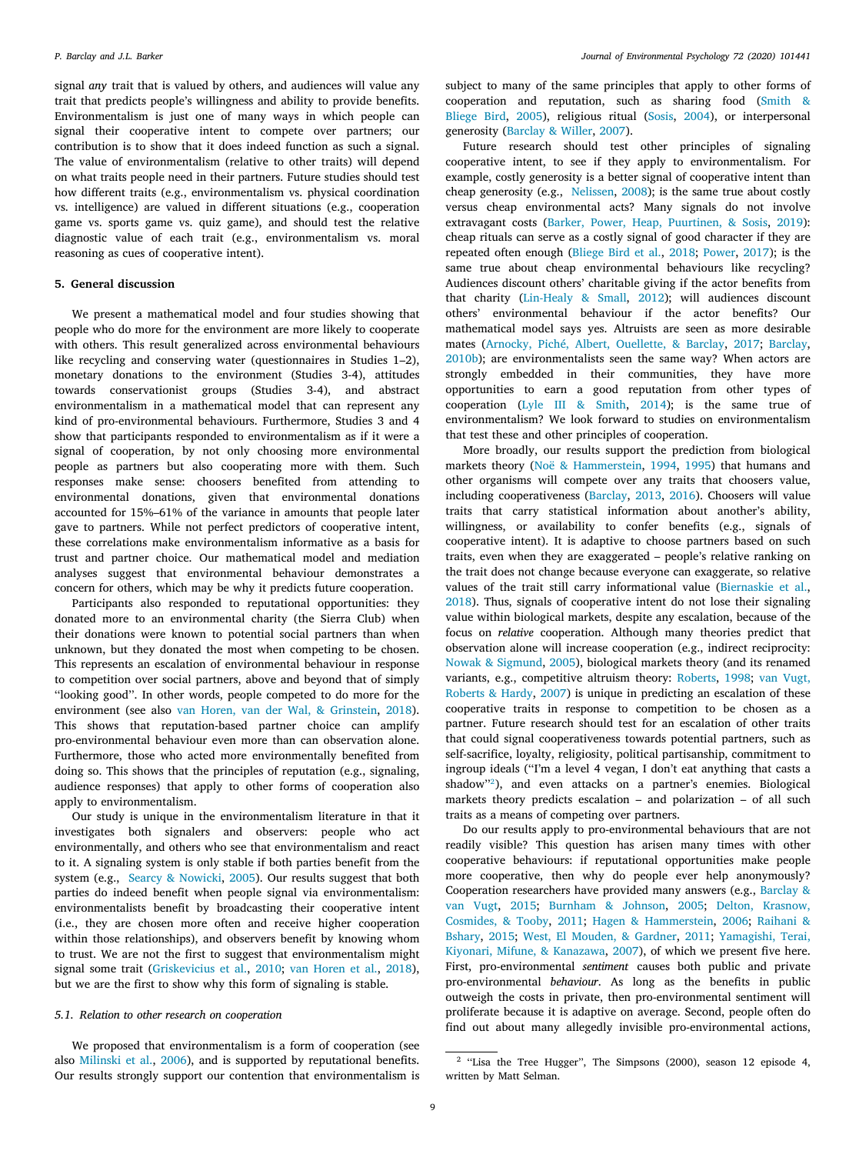signal *any* trait that is valued by others, and audiences will value any trait that predicts people's willingness and ability to provide benefits. Environmentalism is just one of many ways in which people can signal their cooperative intent to compete over partners; our contribution is to show that it does indeed function as such a signal. The value of environmentalism (relative to other traits) will depend on what traits people need in their partners. Future studies should test how different traits (e.g., environmentalism vs. physical coordination vs. intelligence) are valued in different situations (e.g., cooperation game vs. sports game vs. quiz game), and should test the relative diagnostic value of each trait (e.g., environmentalism vs. moral reasoning as cues of cooperative intent).

# **5. General discussion**

We present a mathematical model and four studies showing that people who do more for the environment are more likely to cooperate with others. This result generalized across environmental behaviours like recycling and conserving water (questionnaires in Studies 1–2), monetary donations to the environment (Studies 3-4), attitudes towards conservationist groups (Studies 3-4), and abstract environmentalism in a mathematical model that can represent any kind of pro-environmental behaviours. Furthermore, Studies 3 and 4 show that participants responded to environmentalism as if it were a signal of cooperation, by not only choosing more environmental people as partners but also cooperating more with them. Such responses make sense: choosers benefited from attending to environmental donations, given that environmental donations accounted for 15%–61% of the variance in amounts that people later gave to partners. While not perfect predictors of cooperative intent, these correlations make environmentalism informative as a basis for trust and partner choice. Our mathematical model and mediation analyses suggest that environmental behaviour demonstrates a concern for others, which may be why it predicts future cooperation.

Participants also responded to reputational opportunities: they donated more to an environmental charity (the Sierra Club) when their donations were known to potential social partners than when unknown, but they donated the most when competing to be chosen. This represents an escalation of environmental behaviour in response to competition over social partners, above and beyond that of simply ''looking good''. In other words, people competed to do more for the environment (see also [van Horen, van der Wal, & Grinstein](#page-13-21), [2018](#page-13-21)). This shows that reputation-based partner choice can amplify pro-environmental behaviour even more than can observation alone. Furthermore, those who acted more environmentally benefited from doing so. This shows that the principles of reputation (e.g., signaling, audience responses) that apply to other forms of cooperation also apply to environmentalism.

Our study is unique in the environmentalism literature in that it investigates both signalers and observers: people who act environmentally, and others who see that environmentalism and react to it. A signaling system is only stable if both parties benefit from the system (e.g., [Searcy & Nowicki](#page-13-22), [2005\)](#page-13-22). Our results suggest that both parties do indeed benefit when people signal via environmentalism: environmentalists benefit by broadcasting their cooperative intent (i.e., they are chosen more often and receive higher cooperation within those relationships), and observers benefit by knowing whom to trust. We are not the first to suggest that environmentalism might signal some trait ([Griskevicius et al.,](#page-12-0) [2010;](#page-12-0) [van Horen et al.,](#page-13-21) [2018](#page-13-21)), but we are the first to show why this form of signaling is stable.

# *5.1. Relation to other research on cooperation*

We proposed that environmentalism is a form of cooperation (see also [Milinski et al.,](#page-12-1) [2006](#page-12-1)), and is supported by reputational benefits. Our results strongly support our contention that environmentalism is subject to many of the same principles that apply to other forms of cooperation and reputation, such as sharing food ([Smith &](#page-13-9) [Bliege Bird](#page-13-9), [2005](#page-13-9)), religious ritual ([Sosis](#page-13-10), [2004](#page-13-10)), or interpersonal generosity ([Barclay & Willer,](#page-12-4) [2007](#page-12-4)).

Future research should test other principles of signaling cooperative intent, to see if they apply to environmentalism. For example, costly generosity is a better signal of cooperative intent than cheap generosity (e.g., [Nelissen](#page-12-44), [2008](#page-12-44)); is the same true about costly versus cheap environmental acts? Many signals do not involve extravagant costs ([Barker, Power, Heap, Puurtinen, & Sosis,](#page-12-45) [2019](#page-12-45)): cheap rituals can serve as a costly signal of good character if they are repeated often enough ([Bliege Bird et al.,](#page-12-21) [2018](#page-12-21); [Power,](#page-12-46) [2017](#page-12-46)); is the same true about cheap environmental behaviours like recycling? Audiences discount others' charitable giving if the actor benefits from that charity ([Lin-Healy & Small,](#page-12-47) [2012\)](#page-12-47); will audiences discount others' environmental behaviour if the actor benefits? Our mathematical model says yes. Altruists are seen as more desirable mates [\(Arnocky, Piché, Albert, Ouellette, & Barclay,](#page-11-12) [2017;](#page-11-12) [Barclay](#page-11-13), [2010b\)](#page-11-13); are environmentalists seen the same way? When actors are strongly embedded in their communities, they have more opportunities to earn a good reputation from other types of cooperation [\(Lyle III & Smith,](#page-12-48) [2014\)](#page-12-48); is the same true of environmentalism? We look forward to studies on environmentalism that test these and other principles of cooperation.

More broadly, our results support the prediction from biological markets theory ([Noë & Hammerstein,](#page-12-29) [1994](#page-12-29), [1995](#page-12-30)) that humans and other organisms will compete over any traits that choosers value, including cooperativeness [\(Barclay,](#page-11-6) [2013,](#page-11-6) [2016\)](#page-11-7). Choosers will value traits that carry statistical information about another's ability, willingness, or availability to confer benefits (e.g., signals of cooperative intent). It is adaptive to choose partners based on such traits, even when they are exaggerated – people's relative ranking on the trait does not change because everyone can exaggerate, so relative values of the trait still carry informational value ([Biernaskie et al.](#page-12-31), [2018\)](#page-12-31). Thus, signals of cooperative intent do not lose their signaling value within biological markets, despite any escalation, because of the focus on *relative* cooperation. Although many theories predict that observation alone will increase cooperation (e.g., indirect reciprocity: [Nowak & Sigmund](#page-12-14), [2005\)](#page-12-14), biological markets theory (and its renamed variants, e.g., competitive altruism theory: [Roberts,](#page-13-12) [1998](#page-13-12); [van Vugt,](#page-13-14) [Roberts & Hardy,](#page-13-14) [2007\)](#page-13-14) is unique in predicting an escalation of these cooperative traits in response to competition to be chosen as a partner. Future research should test for an escalation of other traits that could signal cooperativeness towards potential partners, such as self-sacrifice, loyalty, religiosity, political partisanship, commitment to ingroup ideals (''I'm a level 4 vegan, I don't eat anything that casts a shadow''[2](#page-8-0) ), and even attacks on a partner's enemies. Biological markets theory predicts escalation – and polarization – of all such traits as a means of competing over partners.

<span id="page-8-0"></span>Do our results apply to pro-environmental behaviours that are not readily visible? This question has arisen many times with other cooperative behaviours: if reputational opportunities make people more cooperative, then why do people ever help anonymously? Cooperation researchers have provided many answers (e.g., [Barclay &](#page-11-14) [van Vugt,](#page-11-14) [2015](#page-11-14); [Burnham & Johnson,](#page-12-49) [2005](#page-12-49); [Delton, Krasnow,](#page-12-50) [Cosmides, & Tooby,](#page-12-50) [2011;](#page-12-50) [Hagen & Hammerstein,](#page-12-51) [2006;](#page-12-51) [Raihani &](#page-13-23) [Bshary,](#page-13-23) [2015](#page-13-23); [West, El Mouden, & Gardner,](#page-13-24) [2011](#page-13-24); [Yamagishi, Terai,](#page-13-25) [Kiyonari, Mifune, & Kanazawa](#page-13-25), [2007](#page-13-25)), of which we present five here. First, pro-environmental *sentiment* causes both public and private pro-environmental *behaviour*. As long as the benefits in public outweigh the costs in private, then pro-environmental sentiment will proliferate because it is adaptive on average. Second, people often do find out about many allegedly invisible pro-environmental actions,

<sup>&</sup>lt;sup>2</sup> "Lisa the Tree Hugger", The Simpsons (2000), season 12 episode 4, written by Matt Selman.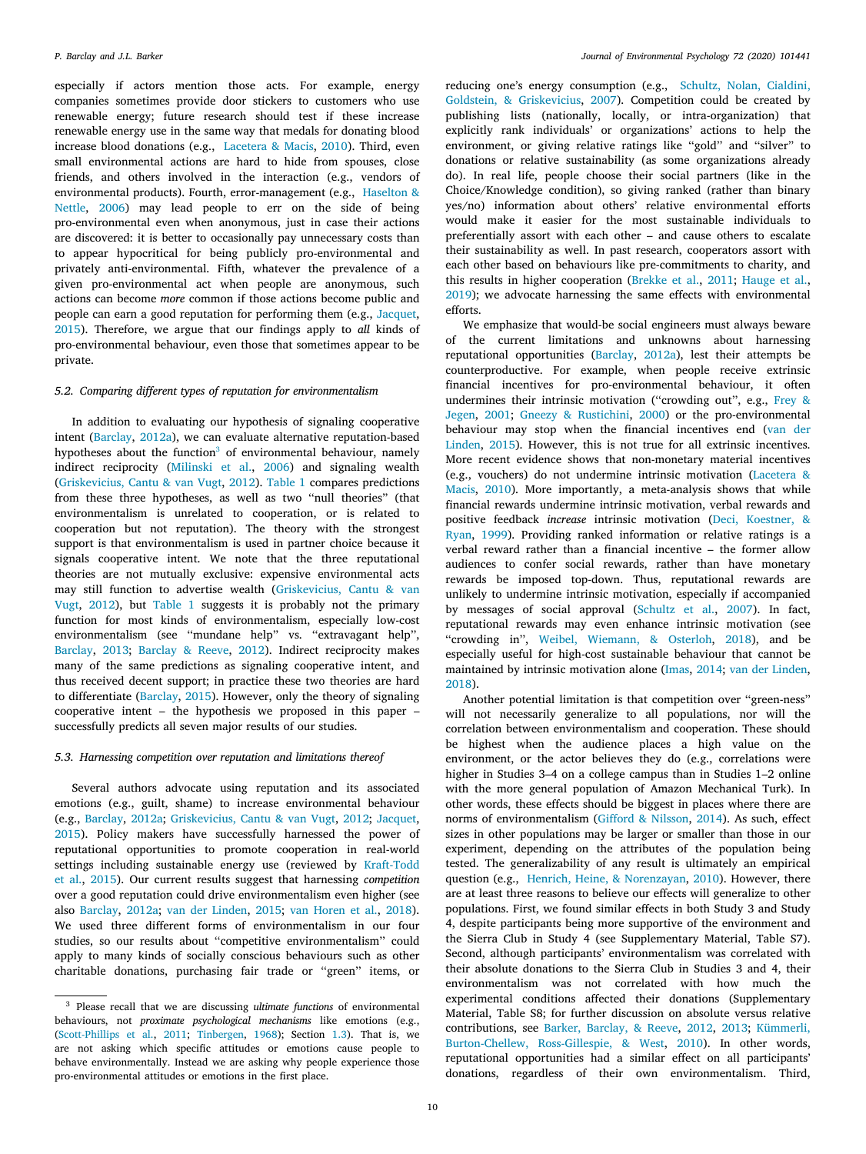especially if actors mention those acts. For example, energy companies sometimes provide door stickers to customers who use renewable energy; future research should test if these increase renewable energy use in the same way that medals for donating blood increase blood donations (e.g., [Lacetera & Macis,](#page-12-52) [2010\)](#page-12-52). Third, even small environmental actions are hard to hide from spouses, close friends, and others involved in the interaction (e.g., vendors of environmental products). Fourth, error-management (e.g., [Haselton &](#page-12-53) [Nettle,](#page-12-53) [2006\)](#page-12-53) may lead people to err on the side of being pro-environmental even when anonymous, just in case their actions are discovered: it is better to occasionally pay unnecessary costs than to appear hypocritical for being publicly pro-environmental and privately anti-environmental. Fifth, whatever the prevalence of a given pro-environmental act when people are anonymous, such actions can become *more* common if those actions become public and people can earn a good reputation for performing them (e.g., [Jacquet](#page-12-54), [2015\)](#page-12-54). Therefore, we argue that our findings apply to *all* kinds of pro-environmental behaviour, even those that sometimes appear to be private.

# *5.2. Comparing different types of reputation for environmentalism*

<span id="page-9-0"></span>In addition to evaluating our hypothesis of signaling cooperative intent ([Barclay,](#page-11-1) [2012a](#page-11-1)), we can evaluate alternative reputation-based hypotheses about the function<sup>[3](#page-9-0)</sup> of environmental behaviour, namely indirect reciprocity ([Milinski et al.](#page-12-1), [2006](#page-12-1)) and signaling wealth ([Griskevicius, Cantu & van Vugt,](#page-12-15) [2012\)](#page-12-15). [Table](#page-10-0) [1](#page-10-0) compares predictions from these three hypotheses, as well as two ''null theories'' (that environmentalism is unrelated to cooperation, or is related to cooperation but not reputation). The theory with the strongest support is that environmentalism is used in partner choice because it signals cooperative intent. We note that the three reputational theories are not mutually exclusive: expensive environmental acts may still function to advertise wealth ([Griskevicius, Cantu & van](#page-12-15) [Vugt](#page-12-15), [2012](#page-12-15)), but [Table](#page-10-0) [1](#page-10-0) suggests it is probably not the primary function for most kinds of environmentalism, especially low-cost environmentalism (see "mundane help" vs. "extravagant help", [Barclay,](#page-11-6) [2013;](#page-11-6) [Barclay & Reeve](#page-11-15), [2012\)](#page-11-15). Indirect reciprocity makes many of the same predictions as signaling cooperative intent, and thus received decent support; in practice these two theories are hard to differentiate [\(Barclay,](#page-11-4) [2015](#page-11-4)). However, only the theory of signaling cooperative intent – the hypothesis we proposed in this paper – successfully predicts all seven major results of our studies.

#### *5.3. Harnessing competition over reputation and limitations thereof*

Several authors advocate using reputation and its associated emotions (e.g., guilt, shame) to increase environmental behaviour (e.g., [Barclay,](#page-11-1) [2012a](#page-11-1); [Griskevicius, Cantu & van Vugt,](#page-12-15) [2012;](#page-12-15) [Jacquet](#page-12-54), [2015\)](#page-12-54). Policy makers have successfully harnessed the power of reputational opportunities to promote cooperation in real-world settings including sustainable energy use (reviewed by [Kraft-Todd](#page-12-9) [et al.](#page-12-9), [2015](#page-12-9)). Our current results suggest that harnessing *competition* over a good reputation could drive environmentalism even higher (see also [Barclay](#page-11-1), [2012a;](#page-11-1) [van der Linden,](#page-13-26) [2015;](#page-13-26) [van Horen et al.,](#page-13-21) [2018](#page-13-21)). We used three different forms of environmentalism in our four studies, so our results about ''competitive environmentalism'' could apply to many kinds of socially conscious behaviours such as other charitable donations, purchasing fair trade or ''green'' items, or reducing one's energy consumption (e.g., [Schultz, Nolan, Cialdini,](#page-13-27) [Goldstein, & Griskevicius,](#page-13-27) [2007](#page-13-27)). Competition could be created by publishing lists (nationally, locally, or intra-organization) that explicitly rank individuals' or organizations' actions to help the environment, or giving relative ratings like ''gold'' and ''silver'' to donations or relative sustainability (as some organizations already do). In real life, people choose their social partners (like in the Choice/Knowledge condition), so giving ranked (rather than binary yes/no) information about others' relative environmental efforts would make it easier for the most sustainable individuals to preferentially assort with each other – and cause others to escalate their sustainability as well. In past research, cooperators assort with each other based on behaviours like pre-commitments to charity, and this results in higher cooperation ([Brekke et al.,](#page-12-23) [2011;](#page-12-23) [Hauge et al.](#page-12-24), [2019\)](#page-12-24); we advocate harnessing the same effects with environmental efforts.

We emphasize that would-be social engineers must always beware of the current limitations and unknowns about harnessing reputational opportunities ([Barclay,](#page-11-1) [2012a\)](#page-11-1), lest their attempts be counterproductive. For example, when people receive extrinsic financial incentives for pro-environmental behaviour, it often undermines their intrinsic motivation ("crowding out", e.g., [Frey &](#page-12-55) [Jegen,](#page-12-55) [2001](#page-12-55); [Gneezy & Rustichini](#page-12-56), [2000\)](#page-12-56) or the pro-environmental behaviour may stop when the financial incentives end ([van der](#page-13-26) [Linden,](#page-13-26) [2015\)](#page-13-26). However, this is not true for all extrinsic incentives. More recent evidence shows that non-monetary material incentives (e.g., vouchers) do not undermine intrinsic motivation ([Lacetera &](#page-12-52) [Macis,](#page-12-52) [2010\)](#page-12-52). More importantly, a meta-analysis shows that while financial rewards undermine intrinsic motivation, verbal rewards and positive feedback *increase* intrinsic motivation [\(Deci, Koestner, &](#page-12-57) [Ryan,](#page-12-57) [1999](#page-12-57)). Providing ranked information or relative ratings is a verbal reward rather than a financial incentive – the former allow audiences to confer social rewards, rather than have monetary rewards be imposed top-down. Thus, reputational rewards are unlikely to undermine intrinsic motivation, especially if accompanied by messages of social approval ([Schultz et al.,](#page-13-27) [2007\)](#page-13-27). In fact, reputational rewards may even enhance intrinsic motivation (see "crowding in", [Weibel, Wiemann, & Osterloh,](#page-13-28) [2018\)](#page-13-28), and be especially useful for high-cost sustainable behaviour that cannot be maintained by intrinsic motivation alone ([Imas](#page-12-58), [2014;](#page-12-58) [van der Linden](#page-13-2), [2018\)](#page-13-2).

Another potential limitation is that competition over ''green-ness'' will not necessarily generalize to all populations, nor will the correlation between environmentalism and cooperation. These should be highest when the audience places a high value on the environment, or the actor believes they do (e.g., correlations were higher in Studies 3–4 on a college campus than in Studies 1–2 online with the more general population of Amazon Mechanical Turk). In other words, these effects should be biggest in places where there are norms of environmentalism [\(Gifford & Nilsson,](#page-12-3) [2014\)](#page-12-3). As such, effect sizes in other populations may be larger or smaller than those in our experiment, depending on the attributes of the population being tested. The generalizability of any result is ultimately an empirical question (e.g., [Henrich, Heine, & Norenzayan,](#page-12-59) [2010\)](#page-12-59). However, there are at least three reasons to believe our effects will generalize to other populations. First, we found similar effects in both Study 3 and Study 4, despite participants being more supportive of the environment and the Sierra Club in Study 4 (see Supplementary Material, Table S7). Second, although participants' environmentalism was correlated with their absolute donations to the Sierra Club in Studies 3 and 4, their environmentalism was not correlated with how much the experimental conditions affected their donations (Supplementary Material, Table S8; for further discussion on absolute versus relative contributions, see [Barker, Barclay, & Reeve](#page-12-60), [2012](#page-12-60), [2013](#page-12-61); [Kümmerli,](#page-12-62) [Burton-Chellew, Ross-Gillespie, & West,](#page-12-62) [2010\)](#page-12-62). In other words, reputational opportunities had a similar effect on all participants' donations, regardless of their own environmentalism. Third,

<sup>3</sup> Please recall that we are discussing *ultimate functions* of environmental behaviours, not *proximate psychological mechanisms* like emotions (e.g., [\(Scott-Phillips et al.,](#page-13-3) [2011;](#page-13-3) [Tinbergen,](#page-13-4) [1968\)](#page-13-4); Section [1.3\)](#page-2-0). That is, we are not asking which specific attitudes or emotions cause people to behave environmentally. Instead we are asking why people experience those pro-environmental attitudes or emotions in the first place.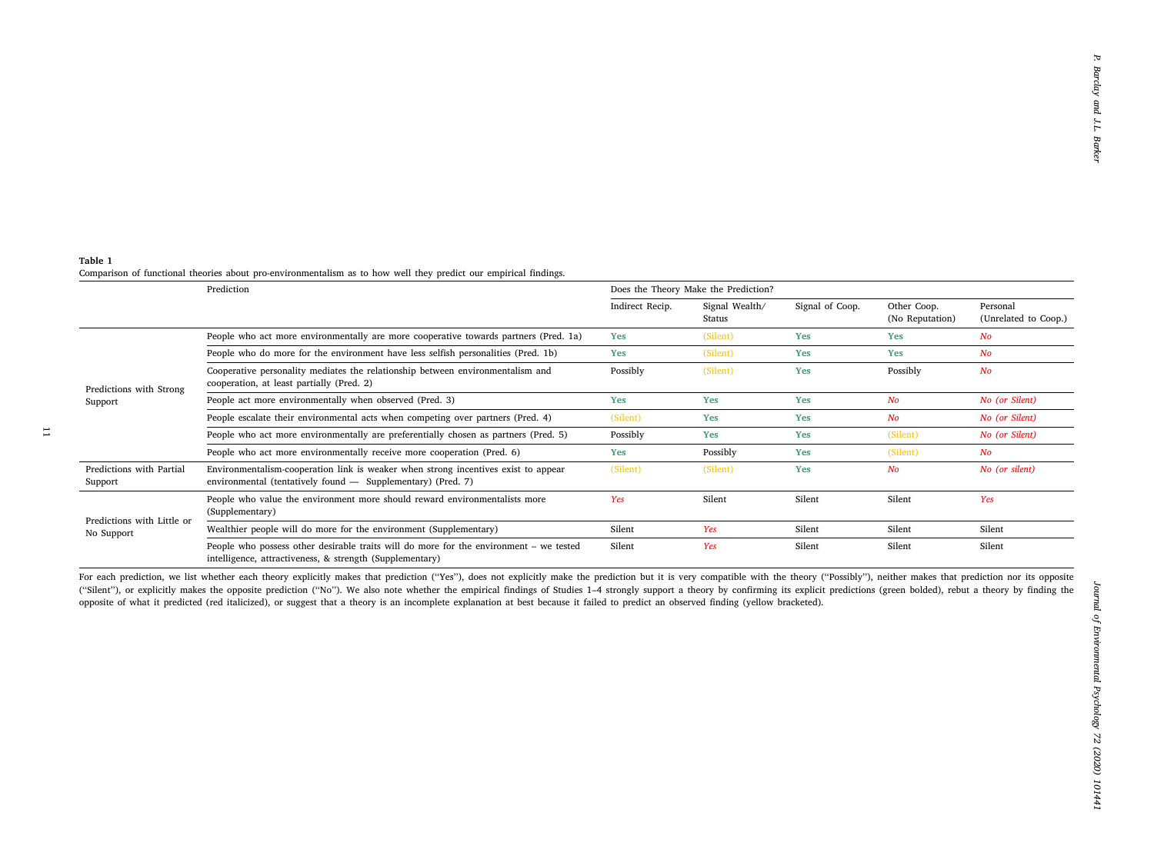<span id="page-10-0"></span>

| Indirect Recip.<br>Signal Wealth/<br>Signal of Coop.<br>Other Coop.<br>Personal<br>(No Reputation)<br>(Unrelated to Coop.)<br>Status<br>People who act more environmentally are more cooperative towards partners (Pred. 1a)<br>(Silent)<br>Yes<br>Yes<br>Yes<br>No<br>People who do more for the environment have less selfish personalities (Pred. 1b)<br>Yes<br>Yes<br>Yes<br>$N$ o<br>(Silent)<br>Cooperative personality mediates the relationship between environmentalism and<br>Possibly<br>(Silent)<br>Yes<br>Possibly<br>No<br>cooperation, at least partially (Pred. 2)<br>Predictions with Strong<br>People act more environmentally when observed (Pred. 3)<br>Yes<br>Yes<br>N <sub>O</sub><br>No (or Silent)<br>Yes<br>Support<br>People escalate their environmental acts when competing over partners (Pred. 4)<br>$N$ o<br>(Silent)<br>Yes<br>No (or Silent)<br>Yes<br>People who act more environmentally are preferentially chosen as partners (Pred. 5)<br>(Silent)<br>Possibly<br>Yes<br>Yes<br>No (or Silent)<br>People who act more environmentally receive more cooperation (Pred. 6)<br>Yes<br>Possibly<br>Yes<br>(Silent)<br>No<br>Predictions with Partial<br>Environmentalism-cooperation link is weaker when strong incentives exist to appear<br>(Silent)<br>Yes<br>$N$ o<br>No (or silent)<br>(Silent)<br>environmental (tentatively found - Supplementary) (Pred. 7)<br>Support<br>People who value the environment more should reward environmentalists more<br>Yes<br>Silent<br>Yes<br>Silent<br>Silent<br>(Supplementary)<br>Predictions with Little or<br>Yes<br>Silent<br>Wealthier people will do more for the environment (Supplementary)<br>Silent<br>Silent<br>Silent<br>No Support<br>People who possess other desirable traits will do more for the environment - we tested<br>Silent<br>Silent<br>Silent<br>Silent<br>Yes<br>intelligence, attractiveness, & strength (Supplementary)<br>For each prediction, we list whether each theory explicitly makes that prediction ("Yes"), does not explicitly make the prediction but it is very compatible with the theory ("Possibly"), neither makes that prediction nor i<br>("Silent"), or explicitly makes the opposite prediction ("No"). We also note whether the empirical findings of Studies 1-4 strongly support a theory by confirming its explicit predictions (green bolded), rebut a theory by<br>opposite of what it predicted (red italicized), or suggest that a theory is an incomplete explanation at best because it failed to predict an observed finding (yellow bracketed). |  | Prediction | Does the Theory Make the Prediction? |  |  |  |  |
|--------------------------------------------------------------------------------------------------------------------------------------------------------------------------------------------------------------------------------------------------------------------------------------------------------------------------------------------------------------------------------------------------------------------------------------------------------------------------------------------------------------------------------------------------------------------------------------------------------------------------------------------------------------------------------------------------------------------------------------------------------------------------------------------------------------------------------------------------------------------------------------------------------------------------------------------------------------------------------------------------------------------------------------------------------------------------------------------------------------------------------------------------------------------------------------------------------------------------------------------------------------------------------------------------------------------------------------------------------------------------------------------------------------------------------------------------------------------------------------------------------------------------------------------------------------------------------------------------------------------------------------------------------------------------------------------------------------------------------------------------------------------------------------------------------------------------------------------------------------------------------------------------------------------------------------------------------------------------------------------------------------------------------------------------------------------------------------------------------------------------------------------------------------------------------------------------------------------------------------------------------------------------------------------------------------------------------------------------------------------------------------------------------------------------------------------------------------------------------------------------------------------------------------------------------------------------------------------|--|------------|--------------------------------------|--|--|--|--|
|                                                                                                                                                                                                                                                                                                                                                                                                                                                                                                                                                                                                                                                                                                                                                                                                                                                                                                                                                                                                                                                                                                                                                                                                                                                                                                                                                                                                                                                                                                                                                                                                                                                                                                                                                                                                                                                                                                                                                                                                                                                                                                                                                                                                                                                                                                                                                                                                                                                                                                                                                                                            |  |            |                                      |  |  |  |  |
|                                                                                                                                                                                                                                                                                                                                                                                                                                                                                                                                                                                                                                                                                                                                                                                                                                                                                                                                                                                                                                                                                                                                                                                                                                                                                                                                                                                                                                                                                                                                                                                                                                                                                                                                                                                                                                                                                                                                                                                                                                                                                                                                                                                                                                                                                                                                                                                                                                                                                                                                                                                            |  |            |                                      |  |  |  |  |
|                                                                                                                                                                                                                                                                                                                                                                                                                                                                                                                                                                                                                                                                                                                                                                                                                                                                                                                                                                                                                                                                                                                                                                                                                                                                                                                                                                                                                                                                                                                                                                                                                                                                                                                                                                                                                                                                                                                                                                                                                                                                                                                                                                                                                                                                                                                                                                                                                                                                                                                                                                                            |  |            |                                      |  |  |  |  |
|                                                                                                                                                                                                                                                                                                                                                                                                                                                                                                                                                                                                                                                                                                                                                                                                                                                                                                                                                                                                                                                                                                                                                                                                                                                                                                                                                                                                                                                                                                                                                                                                                                                                                                                                                                                                                                                                                                                                                                                                                                                                                                                                                                                                                                                                                                                                                                                                                                                                                                                                                                                            |  |            |                                      |  |  |  |  |
|                                                                                                                                                                                                                                                                                                                                                                                                                                                                                                                                                                                                                                                                                                                                                                                                                                                                                                                                                                                                                                                                                                                                                                                                                                                                                                                                                                                                                                                                                                                                                                                                                                                                                                                                                                                                                                                                                                                                                                                                                                                                                                                                                                                                                                                                                                                                                                                                                                                                                                                                                                                            |  |            |                                      |  |  |  |  |
|                                                                                                                                                                                                                                                                                                                                                                                                                                                                                                                                                                                                                                                                                                                                                                                                                                                                                                                                                                                                                                                                                                                                                                                                                                                                                                                                                                                                                                                                                                                                                                                                                                                                                                                                                                                                                                                                                                                                                                                                                                                                                                                                                                                                                                                                                                                                                                                                                                                                                                                                                                                            |  |            |                                      |  |  |  |  |
|                                                                                                                                                                                                                                                                                                                                                                                                                                                                                                                                                                                                                                                                                                                                                                                                                                                                                                                                                                                                                                                                                                                                                                                                                                                                                                                                                                                                                                                                                                                                                                                                                                                                                                                                                                                                                                                                                                                                                                                                                                                                                                                                                                                                                                                                                                                                                                                                                                                                                                                                                                                            |  |            |                                      |  |  |  |  |
|                                                                                                                                                                                                                                                                                                                                                                                                                                                                                                                                                                                                                                                                                                                                                                                                                                                                                                                                                                                                                                                                                                                                                                                                                                                                                                                                                                                                                                                                                                                                                                                                                                                                                                                                                                                                                                                                                                                                                                                                                                                                                                                                                                                                                                                                                                                                                                                                                                                                                                                                                                                            |  |            |                                      |  |  |  |  |
|                                                                                                                                                                                                                                                                                                                                                                                                                                                                                                                                                                                                                                                                                                                                                                                                                                                                                                                                                                                                                                                                                                                                                                                                                                                                                                                                                                                                                                                                                                                                                                                                                                                                                                                                                                                                                                                                                                                                                                                                                                                                                                                                                                                                                                                                                                                                                                                                                                                                                                                                                                                            |  |            |                                      |  |  |  |  |
|                                                                                                                                                                                                                                                                                                                                                                                                                                                                                                                                                                                                                                                                                                                                                                                                                                                                                                                                                                                                                                                                                                                                                                                                                                                                                                                                                                                                                                                                                                                                                                                                                                                                                                                                                                                                                                                                                                                                                                                                                                                                                                                                                                                                                                                                                                                                                                                                                                                                                                                                                                                            |  |            |                                      |  |  |  |  |
|                                                                                                                                                                                                                                                                                                                                                                                                                                                                                                                                                                                                                                                                                                                                                                                                                                                                                                                                                                                                                                                                                                                                                                                                                                                                                                                                                                                                                                                                                                                                                                                                                                                                                                                                                                                                                                                                                                                                                                                                                                                                                                                                                                                                                                                                                                                                                                                                                                                                                                                                                                                            |  |            |                                      |  |  |  |  |
|                                                                                                                                                                                                                                                                                                                                                                                                                                                                                                                                                                                                                                                                                                                                                                                                                                                                                                                                                                                                                                                                                                                                                                                                                                                                                                                                                                                                                                                                                                                                                                                                                                                                                                                                                                                                                                                                                                                                                                                                                                                                                                                                                                                                                                                                                                                                                                                                                                                                                                                                                                                            |  |            |                                      |  |  |  |  |
|                                                                                                                                                                                                                                                                                                                                                                                                                                                                                                                                                                                                                                                                                                                                                                                                                                                                                                                                                                                                                                                                                                                                                                                                                                                                                                                                                                                                                                                                                                                                                                                                                                                                                                                                                                                                                                                                                                                                                                                                                                                                                                                                                                                                                                                                                                                                                                                                                                                                                                                                                                                            |  |            |                                      |  |  |  |  |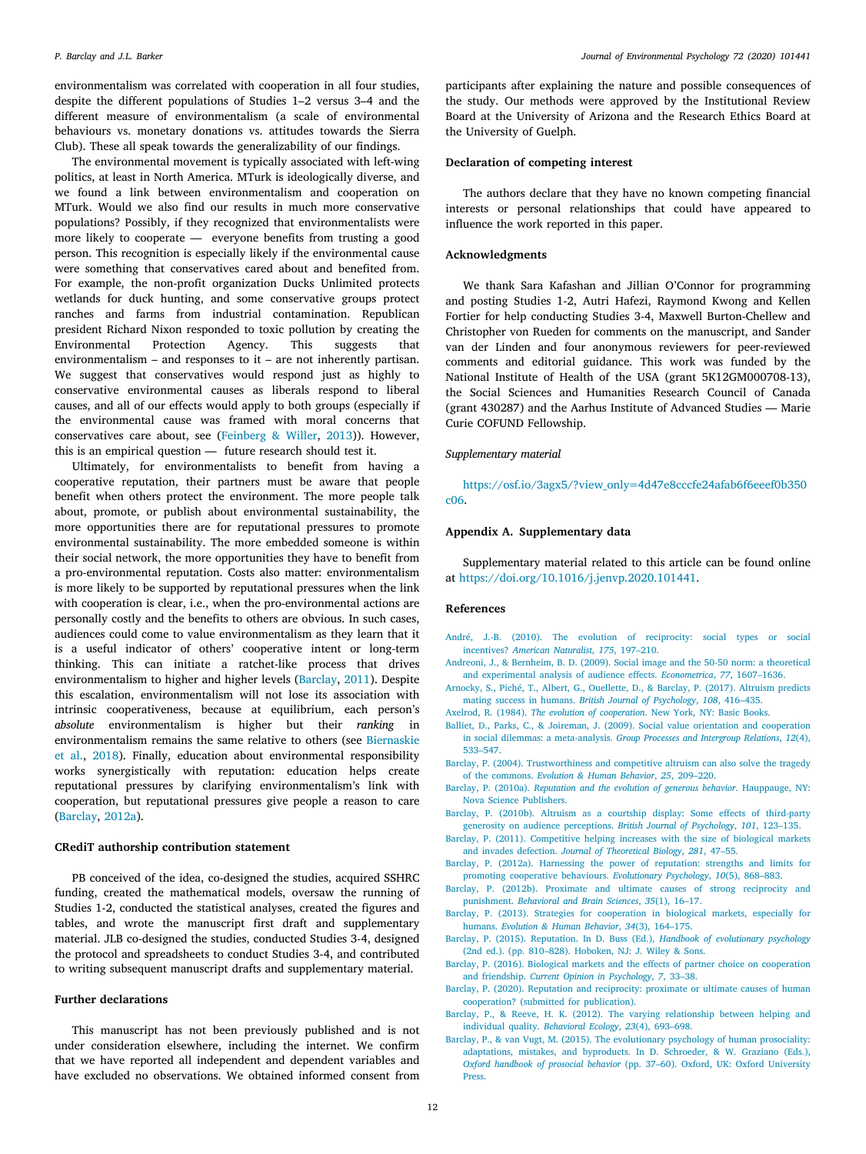environmentalism was correlated with cooperation in all four studies, despite the different populations of Studies 1–2 versus 3–4 and the different measure of environmentalism (a scale of environmental behaviours vs. monetary donations vs. attitudes towards the Sierra Club). These all speak towards the generalizability of our findings.

The environmental movement is typically associated with left-wing politics, at least in North America. MTurk is ideologically diverse, and we found a link between environmentalism and cooperation on MTurk. Would we also find our results in much more conservative populations? Possibly, if they recognized that environmentalists were more likely to cooperate — everyone benefits from trusting a good person. This recognition is especially likely if the environmental cause were something that conservatives cared about and benefited from. For example, the non-profit organization Ducks Unlimited protects wetlands for duck hunting, and some conservative groups protect ranches and farms from industrial contamination. Republican president Richard Nixon responded to toxic pollution by creating the Environmental Protection Agency. This suggests that environmentalism – and responses to it – are not inherently partisan. We suggest that conservatives would respond just as highly to conservative environmental causes as liberals respond to liberal causes, and all of our effects would apply to both groups (especially if the environmental cause was framed with moral concerns that conservatives care about, see [\(Feinberg & Willer](#page-12-63), [2013\)](#page-12-63)). However, this is an empirical question — future research should test it.

Ultimately, for environmentalists to benefit from having a cooperative reputation, their partners must be aware that people benefit when others protect the environment. The more people talk about, promote, or publish about environmental sustainability, the more opportunities there are for reputational pressures to promote environmental sustainability. The more embedded someone is within their social network, the more opportunities they have to benefit from a pro-environmental reputation. Costs also matter: environmentalism is more likely to be supported by reputational pressures when the link with cooperation is clear, i.e., when the pro-environmental actions are personally costly and the benefits to others are obvious. In such cases, audiences could come to value environmentalism as they learn that it is a useful indicator of others' cooperative intent or long-term thinking. This can initiate a ratchet-like process that drives environmentalism to higher and higher levels ([Barclay,](#page-11-16) [2011\)](#page-11-16). Despite this escalation, environmentalism will not lose its association with intrinsic cooperativeness, because at equilibrium, each person's *absolute* environmentalism is higher but their *ranking* in environmentalism remains the same relative to others (see [Biernaskie](#page-12-31) [et al.](#page-12-31), [2018\)](#page-12-31). Finally, education about environmental responsibility works synergistically with reputation: education helps create reputational pressures by clarifying environmentalism's link with cooperation, but reputational pressures give people a reason to care ([Barclay,](#page-11-1) [2012a\)](#page-11-1).

#### **CRediT authorship contribution statement**

PB conceived of the idea, co-designed the studies, acquired SSHRC funding, created the mathematical models, oversaw the running of Studies 1-2, conducted the statistical analyses, created the figures and tables, and wrote the manuscript first draft and supplementary material. JLB co-designed the studies, conducted Studies 3-4, designed the protocol and spreadsheets to conduct Studies 3-4, and contributed to writing subsequent manuscript drafts and supplementary material.

#### **Further declarations**

This manuscript has not been previously published and is not under consideration elsewhere, including the internet. We confirm that we have reported all independent and dependent variables and have excluded no observations. We obtained informed consent from

participants after explaining the nature and possible consequences of the study. Our methods were approved by the Institutional Review Board at the University of Arizona and the Research Ethics Board at the University of Guelph.

#### **Declaration of competing interest**

The authors declare that they have no known competing financial interests or personal relationships that could have appeared to influence the work reported in this paper.

### **Acknowledgments**

We thank Sara Kafashan and Jillian O'Connor for programming and posting Studies 1-2, Autri Hafezi, Raymond Kwong and Kellen Fortier for help conducting Studies 3-4, Maxwell Burton-Chellew and Christopher von Rueden for comments on the manuscript, and Sander van der Linden and four anonymous reviewers for peer-reviewed comments and editorial guidance. This work was funded by the National Institute of Health of the USA (grant 5K12GM000708-13), the Social Sciences and Humanities Research Council of Canada (grant 430287) and the Aarhus Institute of Advanced Studies — Marie Curie COFUND Fellowship.

#### *Supplementary material*

[https://osf.io/3agx5/?view\\_only=4d47e8cccfe24afab6f6eeef0b350](https://osf.io/3agx5/?view_only=4d47e8cccfe24afab6f6eeef0b350c06) [c06](https://osf.io/3agx5/?view_only=4d47e8cccfe24afab6f6eeef0b350c06).

# **Appendix A. Supplementary data**

Supplementary material related to this article can be found online at [https://doi.org/10.1016/j.jenvp.2020.101441.](https://doi.org/10.1016/j.jenvp.2020.101441)

#### **References**

- <span id="page-11-5"></span>[André, J.-B. \(2010\). The evolution of reciprocity: social types or social](http://refhub.elsevier.com/S0272-4944(19)30315-9/sb1) incentives? *[American Naturalist](http://refhub.elsevier.com/S0272-4944(19)30315-9/sb1)*, *175*, 197–210.
- <span id="page-11-2"></span>[Andreoni, J., & Bernheim, B. D. \(2009\). Social image and the 50-50 norm: a theoretical](http://refhub.elsevier.com/S0272-4944(19)30315-9/sb2) [and experimental analysis of audience effects.](http://refhub.elsevier.com/S0272-4944(19)30315-9/sb2) *Econometrica*, *77*, 1607–1636.
- <span id="page-11-12"></span>[Arnocky, S., Piché, T., Albert, G., Ouellette, D., & Barclay, P. \(2017\). Altruism predicts](http://refhub.elsevier.com/S0272-4944(19)30315-9/sb3) mating success in humans. *[British Journal of Psychology](http://refhub.elsevier.com/S0272-4944(19)30315-9/sb3)*, *108*, 416–435.
- <span id="page-11-9"></span>Axelrod, R. (1984). *The evolution of cooperation*[. New York, NY: Basic Books.](http://refhub.elsevier.com/S0272-4944(19)30315-9/sb4)
- <span id="page-11-11"></span>[Balliet, D., Parks, C., & Joireman, J. \(2009\). Social value orientation and cooperation](http://refhub.elsevier.com/S0272-4944(19)30315-9/sb5) in social dilemmas: a meta-analysis. *[Group Processes and Intergroup Relations](http://refhub.elsevier.com/S0272-4944(19)30315-9/sb5)*, *12*(4), [533–547.](http://refhub.elsevier.com/S0272-4944(19)30315-9/sb5)
- <span id="page-11-8"></span>[Barclay, P. \(2004\). Trustworthiness and competitive altruism can also solve the tragedy](http://refhub.elsevier.com/S0272-4944(19)30315-9/sb6) of the commons. *[Evolution & Human Behavior](http://refhub.elsevier.com/S0272-4944(19)30315-9/sb6)*, *25*, 209–220.
- <span id="page-11-3"></span>Barclay, P. (2010a). *[Reputation and the evolution of generous behavior](http://refhub.elsevier.com/S0272-4944(19)30315-9/sb7)*. Hauppauge, NY: [Nova Science Publishers.](http://refhub.elsevier.com/S0272-4944(19)30315-9/sb7)
- <span id="page-11-13"></span>[Barclay, P. \(2010b\). Altruism as a courtship display: Some effects of third-party](http://refhub.elsevier.com/S0272-4944(19)30315-9/sb8) [generosity on audience perceptions.](http://refhub.elsevier.com/S0272-4944(19)30315-9/sb8) *British Journal of Psychology*, *101*, 123–135.
- <span id="page-11-16"></span>[Barclay, P. \(2011\). Competitive helping increases with the size of biological markets](http://refhub.elsevier.com/S0272-4944(19)30315-9/sb9) and invades defection. *[Journal of Theoretical Biology](http://refhub.elsevier.com/S0272-4944(19)30315-9/sb9)*, *281*, 47–55.
- <span id="page-11-1"></span>[Barclay, P. \(2012a\). Harnessing the power of reputation: strengths and limits for](http://refhub.elsevier.com/S0272-4944(19)30315-9/sb10)
- <span id="page-11-10"></span>[promoting cooperative behaviours.](http://refhub.elsevier.com/S0272-4944(19)30315-9/sb10) *Evolutionary Psychology*, *10*(5), 868–883. [Barclay, P. \(2012b\). Proximate and ultimate causes of strong reciprocity and](http://refhub.elsevier.com/S0272-4944(19)30315-9/sb11) punishment. *[Behavioral and Brain Sciences](http://refhub.elsevier.com/S0272-4944(19)30315-9/sb11)*, *35*(1), 16–17.
- <span id="page-11-6"></span>[Barclay, P. \(2013\). Strategies for cooperation in biological markets, especially for](http://refhub.elsevier.com/S0272-4944(19)30315-9/sb12) humans. *[Evolution & Human Behavior](http://refhub.elsevier.com/S0272-4944(19)30315-9/sb12)*, *34*(3), 164–175.
- <span id="page-11-4"></span>[Barclay, P. \(2015\). Reputation. In D. Buss \(Ed.\),](http://refhub.elsevier.com/S0272-4944(19)30315-9/sb13) *Handbook of evolutionary psychology* [\(2nd ed.\). \(pp. 810–828\). Hoboken, NJ: J. Wiley & Sons.](http://refhub.elsevier.com/S0272-4944(19)30315-9/sb13)
- <span id="page-11-7"></span>[Barclay, P. \(2016\). Biological markets and the effects of partner choice on cooperation](http://refhub.elsevier.com/S0272-4944(19)30315-9/sb14) and friendship. *[Current Opinion in Psychology](http://refhub.elsevier.com/S0272-4944(19)30315-9/sb14)*, *7*, 33–38.
- <span id="page-11-0"></span>[Barclay, P. \(2020\). Reputation and reciprocity: proximate or ultimate causes of human](http://refhub.elsevier.com/S0272-4944(19)30315-9/sb15) [cooperation? \(submitted for publication\).](http://refhub.elsevier.com/S0272-4944(19)30315-9/sb15)
- <span id="page-11-15"></span>[Barclay, P., & Reeve, H. K. \(2012\). The varying relationship between helping and](http://refhub.elsevier.com/S0272-4944(19)30315-9/sb16) [individual quality.](http://refhub.elsevier.com/S0272-4944(19)30315-9/sb16) *Behavioral Ecology*, *23*(4), 693–698.
- <span id="page-11-14"></span>[Barclay, P., & van Vugt, M. \(2015\). The evolutionary psychology of human prosociality:](http://refhub.elsevier.com/S0272-4944(19)30315-9/sb17) [adaptations, mistakes, and byproducts. In D. Schroeder, & W. Graziano \(Eds.\),](http://refhub.elsevier.com/S0272-4944(19)30315-9/sb17) *Oxford handbook of prosocial behavior* [\(pp. 37–60\). Oxford, UK: Oxford University](http://refhub.elsevier.com/S0272-4944(19)30315-9/sb17) [Press.](http://refhub.elsevier.com/S0272-4944(19)30315-9/sb17)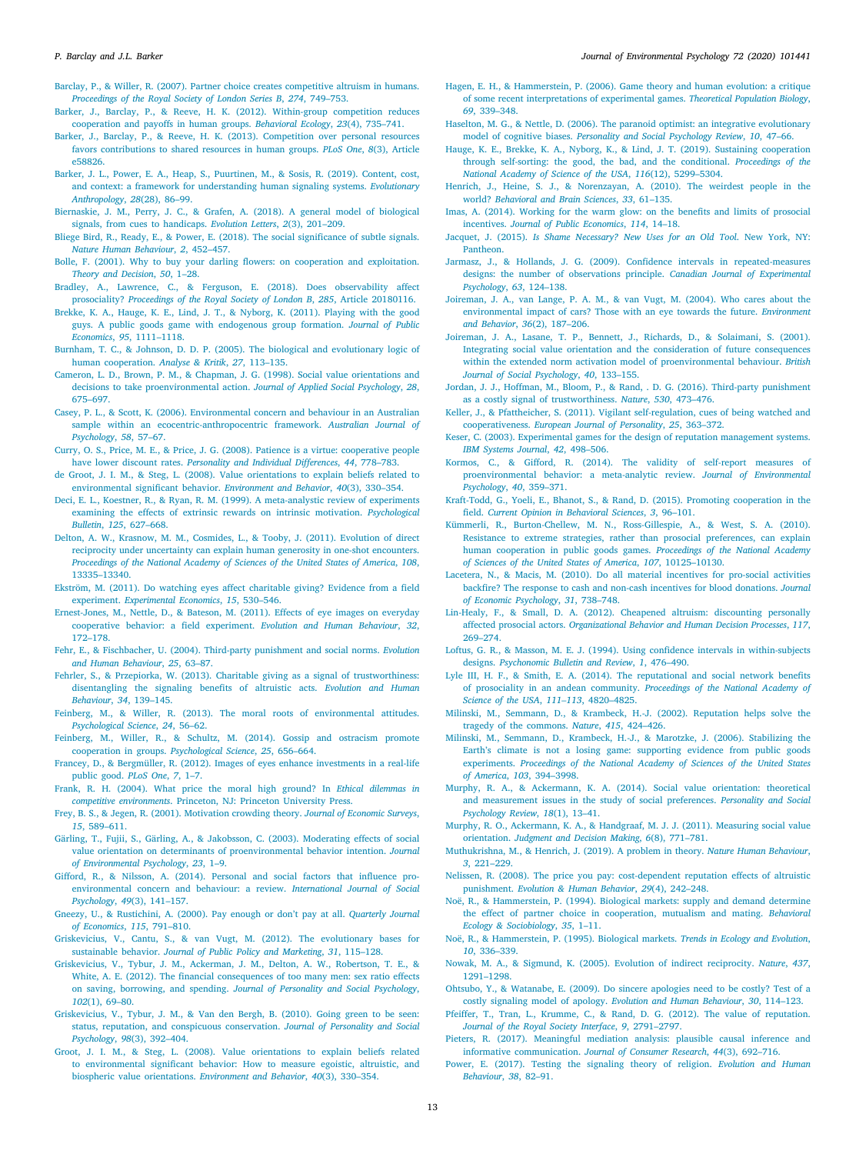- <span id="page-12-4"></span>[Barclay, P., & Willer, R. \(2007\). Partner choice creates competitive altruism in humans.](http://refhub.elsevier.com/S0272-4944(19)30315-9/sb18) *[Proceedings of the Royal Society of London Series B](http://refhub.elsevier.com/S0272-4944(19)30315-9/sb18)*, *274*, 749–753.
- <span id="page-12-60"></span>[Barker, J., Barclay, P., & Reeve, H. K. \(2012\). Within-group competition reduces](http://refhub.elsevier.com/S0272-4944(19)30315-9/sb19) [cooperation and payoffs in human groups.](http://refhub.elsevier.com/S0272-4944(19)30315-9/sb19) *Behavioral Ecology*, *23*(4), 735–741.
- <span id="page-12-61"></span>[Barker, J., Barclay, P., & Reeve, H. K. \(2013\). Competition over personal resources](http://refhub.elsevier.com/S0272-4944(19)30315-9/sb20) [favors contributions to shared resources in human groups.](http://refhub.elsevier.com/S0272-4944(19)30315-9/sb20) *PLoS One*, *8*(3), Article [e58826.](http://refhub.elsevier.com/S0272-4944(19)30315-9/sb20)
- <span id="page-12-45"></span>[Barker, J. L., Power, E. A., Heap, S., Puurtinen, M., & Sosis, R. \(2019\). Content, cost,](http://refhub.elsevier.com/S0272-4944(19)30315-9/sb21) [and context: a framework for understanding human signaling systems.](http://refhub.elsevier.com/S0272-4944(19)30315-9/sb21) *Evolutionary Anthropology*, *28*[\(28\), 86–99.](http://refhub.elsevier.com/S0272-4944(19)30315-9/sb21)
- <span id="page-12-31"></span>[Biernaskie, J. M., Perry, J. C., & Grafen, A. \(2018\). A general model of biological](http://refhub.elsevier.com/S0272-4944(19)30315-9/sb22) [signals, from cues to handicaps.](http://refhub.elsevier.com/S0272-4944(19)30315-9/sb22) *Evolution Letters*, *2*(3), 201–209.
- <span id="page-12-21"></span>[Bliege Bird, R., Ready, E., & Power, E. \(2018\). The social significance of subtle signals.](http://refhub.elsevier.com/S0272-4944(19)30315-9/sb23) *[Nature Human Behaviour](http://refhub.elsevier.com/S0272-4944(19)30315-9/sb23)*, *2*, 452–457.
- <span id="page-12-22"></span>[Bolle, F. \(2001\). Why to buy your darling flowers: on cooperation and exploitation.](http://refhub.elsevier.com/S0272-4944(19)30315-9/sb24) *[Theory and Decision](http://refhub.elsevier.com/S0272-4944(19)30315-9/sb24)*, *50*, 1–28.
- <span id="page-12-8"></span>[Bradley, A., Lawrence, C., & Ferguson, E. \(2018\). Does observability affect](http://refhub.elsevier.com/S0272-4944(19)30315-9/sb25) prosociality? *[Proceedings of the Royal Society of London B](http://refhub.elsevier.com/S0272-4944(19)30315-9/sb25)*, *285*, Article 20180116.
- <span id="page-12-23"></span>[Brekke, K. A., Hauge, K. E., Lind, J. T., & Nyborg, K. \(2011\). Playing with the good](http://refhub.elsevier.com/S0272-4944(19)30315-9/sb26) [guys. A public goods game with endogenous group formation.](http://refhub.elsevier.com/S0272-4944(19)30315-9/sb26) *Journal of Public Economics*, *95*[, 1111–1118.](http://refhub.elsevier.com/S0272-4944(19)30315-9/sb26)
- <span id="page-12-49"></span>[Burnham, T. C., & Johnson, D. D. P. \(2005\). The biological and evolutionary logic of](http://refhub.elsevier.com/S0272-4944(19)30315-9/sb27) [human cooperation.](http://refhub.elsevier.com/S0272-4944(19)30315-9/sb27) *Analyse & Kritik*, *27*, 113–135.
- <span id="page-12-16"></span>[Cameron, L. D., Brown, P. M., & Chapman, J. G. \(1998\). Social value orientations and](http://refhub.elsevier.com/S0272-4944(19)30315-9/sb28) [decisions to take proenvironmental action.](http://refhub.elsevier.com/S0272-4944(19)30315-9/sb28) *Journal of Applied Social Psychology*, *28*, [675–697.](http://refhub.elsevier.com/S0272-4944(19)30315-9/sb28)
- <span id="page-12-38"></span>[Casey, P. L., & Scott, K. \(2006\). Environmental concern and behaviour in an Australian](http://refhub.elsevier.com/S0272-4944(19)30315-9/sb29) [sample within an ecocentric-anthropocentric framework.](http://refhub.elsevier.com/S0272-4944(19)30315-9/sb29) *Australian Journal of [Psychology](http://refhub.elsevier.com/S0272-4944(19)30315-9/sb29)*, *58*, 57–67.
- <span id="page-12-33"></span>[Curry, O. S., Price, M. E., & Price, J. G. \(2008\). Patience is a virtue: cooperative people](http://refhub.elsevier.com/S0272-4944(19)30315-9/sb30) have lower discount rates. *[Personality and Individual Differences](http://refhub.elsevier.com/S0272-4944(19)30315-9/sb30)*, *44*, 778–783.
- <span id="page-12-2"></span>[de Groot, J. I. M., & Steg, L. \(2008\). Value orientations to explain beliefs related to](http://refhub.elsevier.com/S0272-4944(19)30315-9/sb31) [environmental significant behavior.](http://refhub.elsevier.com/S0272-4944(19)30315-9/sb31) *Environment and Behavior*, *40*(3), 330–354.
- <span id="page-12-57"></span>[Deci, E. L., Koestner, R., & Ryan, R. M. \(1999\). A meta-analystic review of experiments](http://refhub.elsevier.com/S0272-4944(19)30315-9/sb32) [examining the effects of extrinsic rewards on intrinsic motivation.](http://refhub.elsevier.com/S0272-4944(19)30315-9/sb32) *Psychological Bulletin*, *125*[, 627–668.](http://refhub.elsevier.com/S0272-4944(19)30315-9/sb32)
- <span id="page-12-50"></span>[Delton, A. W., Krasnow, M. M., Cosmides, L., & Tooby, J. \(2011\). Evolution of direct](http://refhub.elsevier.com/S0272-4944(19)30315-9/sb33) [reciprocity under uncertainty can explain human generosity in one-shot encounters.](http://refhub.elsevier.com/S0272-4944(19)30315-9/sb33) *[Proceedings of the National Academy of Sciences of the United States of America](http://refhub.elsevier.com/S0272-4944(19)30315-9/sb33)*, *108*, [13335–13340.](http://refhub.elsevier.com/S0272-4944(19)30315-9/sb33)
- <span id="page-12-12"></span>[Ekström, M. \(2011\). Do watching eyes affect charitable giving? Evidence from a field](http://refhub.elsevier.com/S0272-4944(19)30315-9/sb34) experiment. *[Experimental Economics](http://refhub.elsevier.com/S0272-4944(19)30315-9/sb34)*, *15*, 530–546.
- <span id="page-12-10"></span>[Ernest-Jones, M., Nettle, D., & Bateson, M. \(2011\). Effects of eye images on everyday](http://refhub.elsevier.com/S0272-4944(19)30315-9/sb35) [cooperative behavior: a field experiment.](http://refhub.elsevier.com/S0272-4944(19)30315-9/sb35) *Evolution and Human Behaviour*, *32*, [172–178.](http://refhub.elsevier.com/S0272-4944(19)30315-9/sb35)
- <span id="page-12-41"></span>[Fehr, E., & Fischbacher, U. \(2004\). Third-party punishment and social norms.](http://refhub.elsevier.com/S0272-4944(19)30315-9/sb36) *Evolution [and Human Behaviour](http://refhub.elsevier.com/S0272-4944(19)30315-9/sb36)*, *25*, 63–87.
- <span id="page-12-5"></span>[Fehrler, S., & Przepiorka, W. \(2013\). Charitable giving as a signal of trustworthiness:](http://refhub.elsevier.com/S0272-4944(19)30315-9/sb37) [disentangling the signaling benefits of altruistic acts.](http://refhub.elsevier.com/S0272-4944(19)30315-9/sb37) *Evolution and Human Behaviour*, *34*[, 139–145.](http://refhub.elsevier.com/S0272-4944(19)30315-9/sb37)
- <span id="page-12-63"></span>[Feinberg, M., & Willer, R. \(2013\). The moral roots of environmental attitudes.](http://refhub.elsevier.com/S0272-4944(19)30315-9/sb38) *[Psychological Science](http://refhub.elsevier.com/S0272-4944(19)30315-9/sb38)*, *24*, 56–62.
- <span id="page-12-6"></span>[Feinberg, M., Willer, R., & Schultz, M. \(2014\). Gossip and ostracism promote](http://refhub.elsevier.com/S0272-4944(19)30315-9/sb39) [cooperation in groups.](http://refhub.elsevier.com/S0272-4944(19)30315-9/sb39) *Psychological Science*, *25*, 656–664.
- <span id="page-12-11"></span>[Francey, D., & Bergmüller, R. \(2012\). Images of eyes enhance investments in a real-life](http://refhub.elsevier.com/S0272-4944(19)30315-9/sb40) [public good.](http://refhub.elsevier.com/S0272-4944(19)30315-9/sb40) *PLoS One*, *7*, 1–7.
- <span id="page-12-27"></span>[Frank, R. H. \(2004\). What price the moral high ground? In](http://refhub.elsevier.com/S0272-4944(19)30315-9/sb41) *Ethical dilemmas in competitive environments*[. Princeton, NJ: Princeton University Press.](http://refhub.elsevier.com/S0272-4944(19)30315-9/sb41)
- <span id="page-12-55"></span>[Frey, B. S., & Jegen, R. \(2001\). Motivation crowding theory.](http://refhub.elsevier.com/S0272-4944(19)30315-9/sb42) *Journal of Economic Surveys*, *15*[, 589–611.](http://refhub.elsevier.com/S0272-4944(19)30315-9/sb42)
- <span id="page-12-17"></span>[Gärling, T., Fujii, S., Gärling, A., & Jakobsson, C. \(2003\). Moderating effects of social](http://refhub.elsevier.com/S0272-4944(19)30315-9/sb43) [value orientation on determinants of proenvironmental behavior intention.](http://refhub.elsevier.com/S0272-4944(19)30315-9/sb43) *Journal [of Environmental Psychology](http://refhub.elsevier.com/S0272-4944(19)30315-9/sb43)*, *23*, 1–9.
- <span id="page-12-3"></span>[Gifford, R., & Nilsson, A. \(2014\). Personal and social factors that influence pro](http://refhub.elsevier.com/S0272-4944(19)30315-9/sb44)[environmental concern and behaviour: a review.](http://refhub.elsevier.com/S0272-4944(19)30315-9/sb44) *International Journal of Social Psychology*, *49*[\(3\), 141–157.](http://refhub.elsevier.com/S0272-4944(19)30315-9/sb44)
- <span id="page-12-56"></span>[Gneezy, U., & Rustichini, A. \(2000\). Pay enough or don't pay at all.](http://refhub.elsevier.com/S0272-4944(19)30315-9/sb45) *Quarterly Journal [of Economics](http://refhub.elsevier.com/S0272-4944(19)30315-9/sb45)*, *115*, 791–810.
- <span id="page-12-15"></span>[Griskevicius, V., Cantu, S., & van Vugt, M. \(2012\). The evolutionary bases for](http://refhub.elsevier.com/S0272-4944(19)30315-9/sb46) sustainable behavior. *[Journal of Public Policy and Marketing](http://refhub.elsevier.com/S0272-4944(19)30315-9/sb46)*, *31*, 115–128.
- <span id="page-12-37"></span>[Griskevicius, V., Tybur, J. M., Ackerman, J. M., Delton, A. W., Robertson, T. E., &](http://refhub.elsevier.com/S0272-4944(19)30315-9/sb47) [White, A. E. \(2012\). The financial consequences of too many men: sex ratio effects](http://refhub.elsevier.com/S0272-4944(19)30315-9/sb47) on saving, borrowing, and spending. *[Journal of Personality and Social Psychology](http://refhub.elsevier.com/S0272-4944(19)30315-9/sb47)*, *102*[\(1\), 69–80.](http://refhub.elsevier.com/S0272-4944(19)30315-9/sb47)
- <span id="page-12-0"></span>[Griskevicius, V., Tybur, J. M., & Van den Bergh, B. \(2010\). Going green to be seen:](http://refhub.elsevier.com/S0272-4944(19)30315-9/sb48) [status, reputation, and conspicuous conservation.](http://refhub.elsevier.com/S0272-4944(19)30315-9/sb48) *Journal of Personality and Social Psychology*, *98*[\(3\), 392–404.](http://refhub.elsevier.com/S0272-4944(19)30315-9/sb48)
- <span id="page-12-18"></span>[Groot, J. I. M., & Steg, L. \(2008\). Value orientations to explain beliefs related](http://refhub.elsevier.com/S0272-4944(19)30315-9/sb49) [to environmental significant behavior: How to measure egoistic, altruistic, and](http://refhub.elsevier.com/S0272-4944(19)30315-9/sb49) [biospheric value orientations.](http://refhub.elsevier.com/S0272-4944(19)30315-9/sb49) *Environment and Behavior*, *40*(3), 330–354.
- <span id="page-12-51"></span>[Hagen, E. H., & Hammerstein, P. \(2006\). Game theory and human evolution: a critique](http://refhub.elsevier.com/S0272-4944(19)30315-9/sb50) [of some recent interpretations of experimental games.](http://refhub.elsevier.com/S0272-4944(19)30315-9/sb50) *Theoretical Population Biology*, *69*[, 339–348.](http://refhub.elsevier.com/S0272-4944(19)30315-9/sb50)
- <span id="page-12-53"></span>[Haselton, M. G., & Nettle, D. \(2006\). The paranoid optimist: an integrative evolutionary](http://refhub.elsevier.com/S0272-4944(19)30315-9/sb51) model of cognitive biases. *[Personality and Social Psychology Review](http://refhub.elsevier.com/S0272-4944(19)30315-9/sb51)*, *10*, 47–66.
- <span id="page-12-24"></span>[Hauge, K. E., Brekke, K. A., Nyborg, K., & Lind, J. T. \(2019\). Sustaining cooperation](http://refhub.elsevier.com/S0272-4944(19)30315-9/sb52) [through self-sorting: the good, the bad, and the conditional.](http://refhub.elsevier.com/S0272-4944(19)30315-9/sb52) *Proceedings of the [National Academy of Science of the USA](http://refhub.elsevier.com/S0272-4944(19)30315-9/sb52)*, *116*(12), 5299–5304.
- <span id="page-12-59"></span>[Henrich, J., Heine, S. J., & Norenzayan, A. \(2010\). The weirdest people in the](http://refhub.elsevier.com/S0272-4944(19)30315-9/sb53) world? *[Behavioral and Brain Sciences](http://refhub.elsevier.com/S0272-4944(19)30315-9/sb53)*, *33*, 61–135.
- <span id="page-12-58"></span>[Imas, A. \(2014\). Working for the warm glow: on the benefits and limits of prosocial](http://refhub.elsevier.com/S0272-4944(19)30315-9/sb54) incentives. *[Journal of Public Economics](http://refhub.elsevier.com/S0272-4944(19)30315-9/sb54)*, *114*, 14–18.
- <span id="page-12-54"></span>Jacquet, J. (2015). *[Is Shame Necessary? New Uses for an Old Tool](http://refhub.elsevier.com/S0272-4944(19)30315-9/sb55)*. New York, NY: [Pantheon.](http://refhub.elsevier.com/S0272-4944(19)30315-9/sb55)
- <span id="page-12-42"></span>[Jarmasz, J., & Hollands, J. G. \(2009\). Confidence intervals in repeated-measures](http://refhub.elsevier.com/S0272-4944(19)30315-9/sb56) [designs: the number of observations principle.](http://refhub.elsevier.com/S0272-4944(19)30315-9/sb56) *Canadian Journal of Experimental Psychology*, *63*[, 124–138.](http://refhub.elsevier.com/S0272-4944(19)30315-9/sb56)
- <span id="page-12-20"></span>[Joireman, J. A., van Lange, P. A. M., & van Vugt, M. \(2004\). Who cares about the](http://refhub.elsevier.com/S0272-4944(19)30315-9/sb57) [environmental impact of cars? Those with an eye towards the future.](http://refhub.elsevier.com/S0272-4944(19)30315-9/sb57) *Environment and Behavior*, *36*[\(2\), 187–206.](http://refhub.elsevier.com/S0272-4944(19)30315-9/sb57)
- <span id="page-12-19"></span>[Joireman, J. A., Lasane, T. P., Bennett, J., Richards, D., & Solaimani, S. \(2001\).](http://refhub.elsevier.com/S0272-4944(19)30315-9/sb58) [Integrating social value orientation and the consideration of future consequences](http://refhub.elsevier.com/S0272-4944(19)30315-9/sb58) [within the extended norm activation model of proenvironmental behaviour.](http://refhub.elsevier.com/S0272-4944(19)30315-9/sb58) *British [Journal of Social Psychology](http://refhub.elsevier.com/S0272-4944(19)30315-9/sb58)*, *40*, 133–155.
- <span id="page-12-34"></span>[Jordan, J. J., Hoffman, M., Bloom, P., & Rand, . D. G. \(2016\). Third-party punishment](http://refhub.elsevier.com/S0272-4944(19)30315-9/sb59) [as a costly signal of trustworthiness.](http://refhub.elsevier.com/S0272-4944(19)30315-9/sb59) *Nature*, *530*, 473–476.
- <span id="page-12-13"></span>[Keller, J., & Pfattheicher, S. \(2011\). Vigilant self-regulation, cues of being watched and](http://refhub.elsevier.com/S0272-4944(19)30315-9/sb60) cooperativeness. *[European Journal of Personality](http://refhub.elsevier.com/S0272-4944(19)30315-9/sb60)*, *25*, 363–372.
- <span id="page-12-25"></span>[Keser, C. \(2003\). Experimental games for the design of reputation management systems.](http://refhub.elsevier.com/S0272-4944(19)30315-9/sb61) *[IBM Systems Journal](http://refhub.elsevier.com/S0272-4944(19)30315-9/sb61)*, *42*, 498–506.
- <span id="page-12-39"></span>[Kormos, C., & Gifford, R. \(2014\). The validity of self-report measures of](http://refhub.elsevier.com/S0272-4944(19)30315-9/sb62) [proenvironmental behavior: a meta-analytic review.](http://refhub.elsevier.com/S0272-4944(19)30315-9/sb62) *Journal of Environmental Psychology*, *40*[, 359–371.](http://refhub.elsevier.com/S0272-4944(19)30315-9/sb62)
- <span id="page-12-9"></span>[Kraft-Todd, G., Yoeli, E., Bhanot, S., & Rand, D. \(2015\). Promoting cooperation in the](http://refhub.elsevier.com/S0272-4944(19)30315-9/sb63) field. *[Current Opinion in Behavioral Sciences](http://refhub.elsevier.com/S0272-4944(19)30315-9/sb63)*, *3*, 96–101.
- <span id="page-12-62"></span>[Kümmerli, R., Burton-Chellew, M. N., Ross-Gillespie, A., & West, S. A. \(2010\).](http://refhub.elsevier.com/S0272-4944(19)30315-9/sb64) [Resistance to extreme strategies, rather than prosocial preferences, can explain](http://refhub.elsevier.com/S0272-4944(19)30315-9/sb64) [human cooperation in public goods games.](http://refhub.elsevier.com/S0272-4944(19)30315-9/sb64) *Proceedings of the National Academy [of Sciences of the United States of America](http://refhub.elsevier.com/S0272-4944(19)30315-9/sb64)*, *107*, 10125–10130.
- <span id="page-12-52"></span>[Lacetera, N., & Macis, M. \(2010\). Do all material incentives for pro-social activities](http://refhub.elsevier.com/S0272-4944(19)30315-9/sb65) [backfire? The response to cash and non-cash incentives for blood donations.](http://refhub.elsevier.com/S0272-4944(19)30315-9/sb65) *Journal [of Economic Psychology](http://refhub.elsevier.com/S0272-4944(19)30315-9/sb65)*, *31*, 738–748.
- <span id="page-12-47"></span>[Lin-Healy, F., & Small, D. A. \(2012\). Cheapened altruism: discounting personally](http://refhub.elsevier.com/S0272-4944(19)30315-9/sb66) affected prosocial actors. *[Organizational Behavior and Human Decision Processes](http://refhub.elsevier.com/S0272-4944(19)30315-9/sb66)*, *117*, [269–274.](http://refhub.elsevier.com/S0272-4944(19)30315-9/sb66)
- <span id="page-12-43"></span>[Loftus, G. R., & Masson, M. E. J. \(1994\). Using confidence intervals in within-subjects](http://refhub.elsevier.com/S0272-4944(19)30315-9/sb67) designs. *[Psychonomic Bulletin and Review](http://refhub.elsevier.com/S0272-4944(19)30315-9/sb67)*, *1*, 476–490.
- <span id="page-12-48"></span>[Lyle III, H. F., & Smith, E. A. \(2014\). The reputational and social network benefits](http://refhub.elsevier.com/S0272-4944(19)30315-9/sb68) [of prosociality in an andean community.](http://refhub.elsevier.com/S0272-4944(19)30315-9/sb68) *Proceedings of the National Academy of [Science of the USA](http://refhub.elsevier.com/S0272-4944(19)30315-9/sb68)*, *111–113*, 4820–4825.
- <span id="page-12-7"></span>[Milinski, M., Semmann, D., & Krambeck, H.-J. \(2002\). Reputation helps solve the](http://refhub.elsevier.com/S0272-4944(19)30315-9/sb69) [tragedy of the commons.](http://refhub.elsevier.com/S0272-4944(19)30315-9/sb69) *Nature*, *415*, 424–426.
- <span id="page-12-1"></span>[Milinski, M., Semmann, D., Krambeck, H.-J., & Marotzke, J. \(2006\). Stabilizing the](http://refhub.elsevier.com/S0272-4944(19)30315-9/sb70) [Earth's climate is not a losing game: supporting evidence from public goods](http://refhub.elsevier.com/S0272-4944(19)30315-9/sb70) experiments. *[Proceedings of the National Academy of Sciences of the United States](http://refhub.elsevier.com/S0272-4944(19)30315-9/sb70) of America*, *103*[, 394–3998.](http://refhub.elsevier.com/S0272-4944(19)30315-9/sb70)
- <span id="page-12-35"></span>[Murphy, R. A., & Ackermann, K. A. \(2014\). Social value orientation: theoretical](http://refhub.elsevier.com/S0272-4944(19)30315-9/sb71) [and measurement issues in the study of social preferences.](http://refhub.elsevier.com/S0272-4944(19)30315-9/sb71) *Personality and Social [Psychology Review](http://refhub.elsevier.com/S0272-4944(19)30315-9/sb71)*, *18*(1), 13–41.
- <span id="page-12-36"></span>[Murphy, R. O., Ackermann, K. A., & Handgraaf, M. J. J. \(2011\). Measuring social value](http://refhub.elsevier.com/S0272-4944(19)30315-9/sb72) orientation. *[Judgment and Decision Making](http://refhub.elsevier.com/S0272-4944(19)30315-9/sb72)*, *6*(8), 771–781.
- <span id="page-12-32"></span>[Muthukrishna, M., & Henrich, J. \(2019\). A problem in theory.](http://refhub.elsevier.com/S0272-4944(19)30315-9/sb73) *Nature Human Behaviour*, *3*[, 221–229.](http://refhub.elsevier.com/S0272-4944(19)30315-9/sb73)
- <span id="page-12-44"></span>[Nelissen, R. \(2008\). The price you pay: cost-dependent reputation effects of altruistic](http://refhub.elsevier.com/S0272-4944(19)30315-9/sb74) punishment. *[Evolution & Human Behavior](http://refhub.elsevier.com/S0272-4944(19)30315-9/sb74)*, *29*(4), 242–248.
- <span id="page-12-29"></span>[Noë, R., & Hammerstein, P. \(1994\). Biological markets: supply and demand determine](http://refhub.elsevier.com/S0272-4944(19)30315-9/sb75) [the effect of partner choice in cooperation, mutualism and mating.](http://refhub.elsevier.com/S0272-4944(19)30315-9/sb75) *Behavioral [Ecology & Sociobiology](http://refhub.elsevier.com/S0272-4944(19)30315-9/sb75)*, *35*, 1–11.
- <span id="page-12-30"></span>[Noë, R., & Hammerstein, P. \(1995\). Biological markets.](http://refhub.elsevier.com/S0272-4944(19)30315-9/sb76) *Trends in Ecology and Evolution*, *10*[, 336–339.](http://refhub.elsevier.com/S0272-4944(19)30315-9/sb76)
- <span id="page-12-14"></span>[Nowak, M. A., & Sigmund, K. \(2005\). Evolution of indirect reciprocity.](http://refhub.elsevier.com/S0272-4944(19)30315-9/sb77) *Nature*, *437*, [1291–1298.](http://refhub.elsevier.com/S0272-4944(19)30315-9/sb77)
- <span id="page-12-26"></span>[Ohtsubo, Y., & Watanabe, E. \(2009\). Do sincere apologies need to be costly? Test of a](http://refhub.elsevier.com/S0272-4944(19)30315-9/sb78) [costly signaling model of apology.](http://refhub.elsevier.com/S0272-4944(19)30315-9/sb78) *Evolution and Human Behaviour*, *30*, 114–123.
- <span id="page-12-28"></span>[Pfeiffer, T., Tran, L., Krumme, C., & Rand, D. G. \(2012\). The value of reputation.](http://refhub.elsevier.com/S0272-4944(19)30315-9/sb79) *[Journal of the Royal Society Interface](http://refhub.elsevier.com/S0272-4944(19)30315-9/sb79)*, *9*, 2791–2797.
- <span id="page-12-40"></span>[Pieters, R. \(2017\). Meaningful mediation analysis: plausible causal inference and](http://refhub.elsevier.com/S0272-4944(19)30315-9/sb80) informative communication. *[Journal of Consumer Research](http://refhub.elsevier.com/S0272-4944(19)30315-9/sb80)*, *44*(3), 692–716.
- <span id="page-12-46"></span>[Power, E. \(2017\). Testing the signaling theory of religion.](http://refhub.elsevier.com/S0272-4944(19)30315-9/sb81) *Evolution and Human [Behaviour](http://refhub.elsevier.com/S0272-4944(19)30315-9/sb81)*, *38*, 82–91.